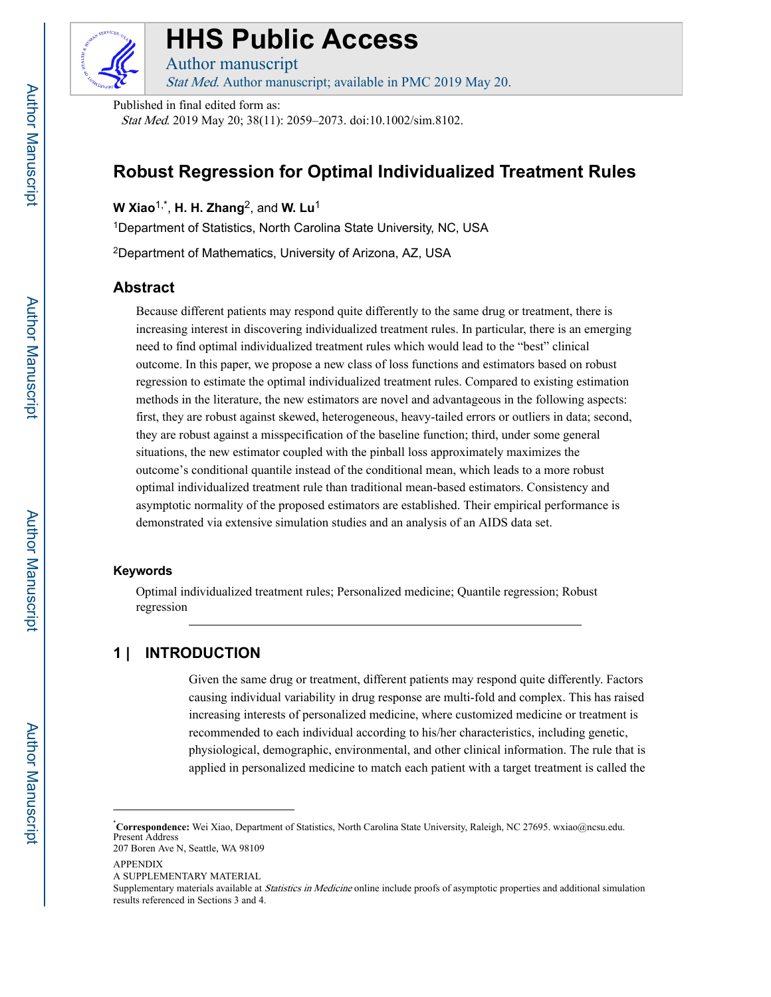

# **HHS Public Access**

Author manuscript Stat Med. Author manuscript; available in PMC 2019 May 20.

Published in final edited form as: Stat Med. 2019 May 20; 38(11): 2059–2073. doi:10.1002/sim.8102.

# **Robust Regression for Optimal Individualized Treatment Rules**

**W Xiao**1,\* , **H. H. Zhang**2, and **W. Lu**<sup>1</sup>

<sup>1</sup>Department of Statistics, North Carolina State University, NC, USA

<sup>2</sup>Department of Mathematics, University of Arizona, AZ, USA

# **Abstract**

Because different patients may respond quite differently to the same drug or treatment, there is increasing interest in discovering individualized treatment rules. In particular, there is an emerging need to find optimal individualized treatment rules which would lead to the "best" clinical outcome. In this paper, we propose a new class of loss functions and estimators based on robust regression to estimate the optimal individualized treatment rules. Compared to existing estimation methods in the literature, the new estimators are novel and advantageous in the following aspects: first, they are robust against skewed, heterogeneous, heavy-tailed errors or outliers in data; second, they are robust against a misspecification of the baseline function; third, under some general situations, the new estimator coupled with the pinball loss approximately maximizes the outcome's conditional quantile instead of the conditional mean, which leads to a more robust optimal individualized treatment rule than traditional mean-based estimators. Consistency and asymptotic normality of the proposed estimators are established. Their empirical performance is demonstrated via extensive simulation studies and an analysis of an AIDS data set.

#### **Keywords**

Optimal individualized treatment rules; Personalized medicine; Quantile regression; Robust regression

# **1 | INTRODUCTION**

Given the same drug or treatment, different patients may respond quite differently. Factors causing individual variability in drug response are multi-fold and complex. This has raised increasing interests of personalized medicine, where customized medicine or treatment is recommended to each individual according to his/her characteristics, including genetic, physiological, demographic, environmental, and other clinical information. The rule that is applied in personalized medicine to match each patient with a target treatment is called the

207 Boren Ave N, Seattle, WA 98109

APPENDIX

<sup>\*</sup>**Correspondence:** Wei Xiao, Department of Statistics, North Carolina State University, Raleigh, NC 27695. wxiao@ncsu.edu. Present Address

A SUPPLEMENTARY MATERIAL

Supplementary materials available at *Statistics in Medicine* online include proofs of asymptotic properties and additional simulation results referenced in Sections 3 and 4.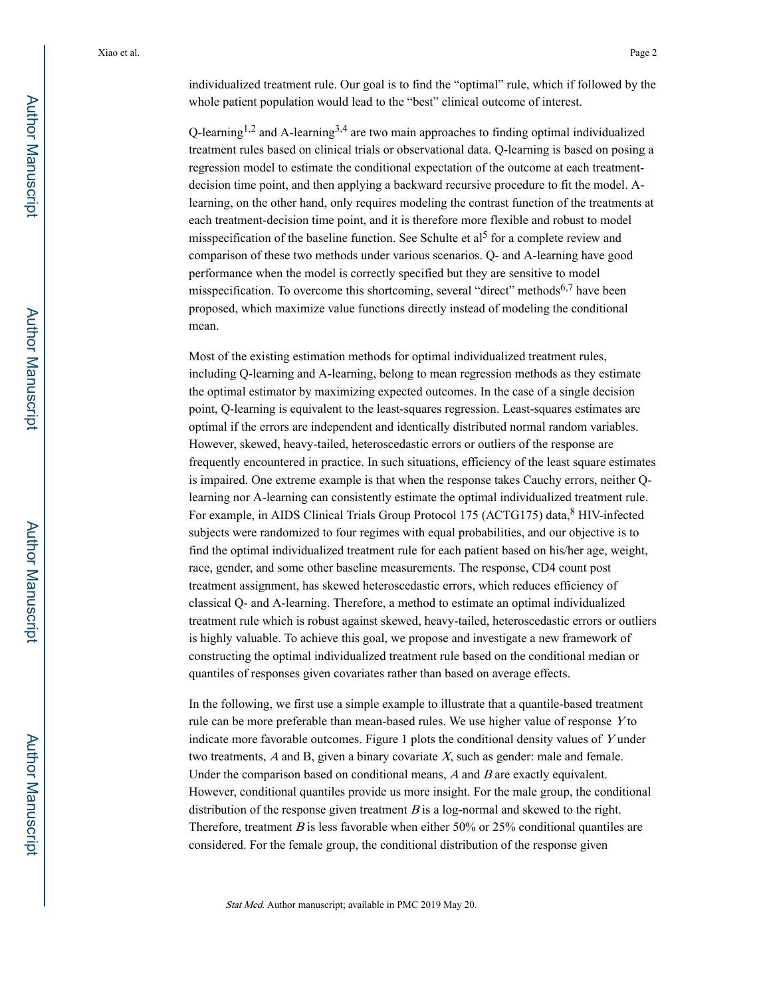individualized treatment rule. Our goal is to find the "optimal" rule, which if followed by the whole patient population would lead to the "best" clinical outcome of interest.

Q-learning<sup>1,2</sup> and A-learning<sup>3,4</sup> are two main approaches to finding optimal individualized treatment rules based on clinical trials or observational data. Q-learning is based on posing a regression model to estimate the conditional expectation of the outcome at each treatmentdecision time point, and then applying a backward recursive procedure to fit the model. Alearning, on the other hand, only requires modeling the contrast function of the treatments at each treatment-decision time point, and it is therefore more flexible and robust to model misspecification of the baseline function. See Schulte et al<sup>5</sup> for a complete review and comparison of these two methods under various scenarios. Q- and A-learning have good performance when the model is correctly specified but they are sensitive to model misspecification. To overcome this shortcoming, several "direct" methods<sup>6,7</sup> have been proposed, which maximize value functions directly instead of modeling the conditional mean.

Most of the existing estimation methods for optimal individualized treatment rules, including Q-learning and A-learning, belong to mean regression methods as they estimate the optimal estimator by maximizing expected outcomes. In the case of a single decision point, Q-learning is equivalent to the least-squares regression. Least-squares estimates are optimal if the errors are independent and identically distributed normal random variables. However, skewed, heavy-tailed, heteroscedastic errors or outliers of the response are frequently encountered in practice. In such situations, efficiency of the least square estimates is impaired. One extreme example is that when the response takes Cauchy errors, neither Qlearning nor A-learning can consistently estimate the optimal individualized treatment rule. For example, in AIDS Clinical Trials Group Protocol 175 (ACTG175) data, <sup>8</sup> HIV-infected subjects were randomized to four regimes with equal probabilities, and our objective is to find the optimal individualized treatment rule for each patient based on his/her age, weight, race, gender, and some other baseline measurements. The response, CD4 count post treatment assignment, has skewed heteroscedastic errors, which reduces efficiency of classical Q- and A-learning. Therefore, a method to estimate an optimal individualized treatment rule which is robust against skewed, heavy-tailed, heteroscedastic errors or outliers is highly valuable. To achieve this goal, we propose and investigate a new framework of constructing the optimal individualized treatment rule based on the conditional median or quantiles of responses given covariates rather than based on average effects.

In the following, we first use a simple example to illustrate that a quantile-based treatment rule can be more preferable than mean-based rules. We use higher value of response Y to indicate more favorable outcomes. Figure 1 plots the conditional density values of Y under two treatments,  $A$  and  $B$ , given a binary covariate  $X$ , such as gender: male and female. Under the comparison based on conditional means, A and B are exactly equivalent. However, conditional quantiles provide us more insight. For the male group, the conditional distribution of the response given treatment  $B$  is a log-normal and skewed to the right. Therefore, treatment  $B$  is less favorable when either 50% or 25% conditional quantiles are considered. For the female group, the conditional distribution of the response given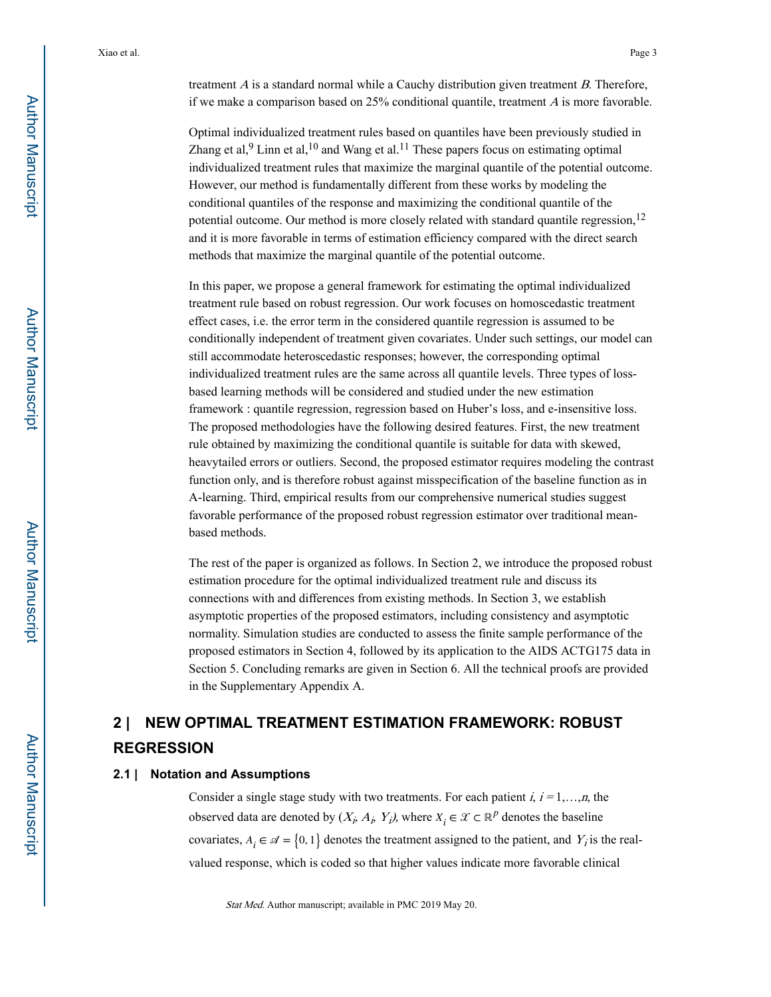treatment A is a standard normal while a Cauchy distribution given treatment B. Therefore, if we make a comparison based on  $25%$  conditional quantile, treatment A is more favorable.

Optimal individualized treatment rules based on quantiles have been previously studied in Zhang et al, <sup>9</sup> Linn et al, <sup>10</sup> and Wang et al.<sup>11</sup> These papers focus on estimating optimal individualized treatment rules that maximize the marginal quantile of the potential outcome. However, our method is fundamentally different from these works by modeling the conditional quantiles of the response and maximizing the conditional quantile of the potential outcome. Our method is more closely related with standard quantile regression,<sup>12</sup> and it is more favorable in terms of estimation efficiency compared with the direct search methods that maximize the marginal quantile of the potential outcome.

In this paper, we propose a general framework for estimating the optimal individualized treatment rule based on robust regression. Our work focuses on homoscedastic treatment effect cases, i.e. the error term in the considered quantile regression is assumed to be conditionally independent of treatment given covariates. Under such settings, our model can still accommodate heteroscedastic responses; however, the corresponding optimal individualized treatment rules are the same across all quantile levels. Three types of lossbased learning methods will be considered and studied under the new estimation framework : quantile regression, regression based on Huber's loss, and e-insensitive loss. The proposed methodologies have the following desired features. First, the new treatment rule obtained by maximizing the conditional quantile is suitable for data with skewed, heavytailed errors or outliers. Second, the proposed estimator requires modeling the contrast function only, and is therefore robust against misspecification of the baseline function as in A-learning. Third, empirical results from our comprehensive numerical studies suggest favorable performance of the proposed robust regression estimator over traditional meanbased methods.

The rest of the paper is organized as follows. In Section 2, we introduce the proposed robust estimation procedure for the optimal individualized treatment rule and discuss its connections with and differences from existing methods. In Section 3, we establish asymptotic properties of the proposed estimators, including consistency and asymptotic normality. Simulation studies are conducted to assess the finite sample performance of the proposed estimators in Section 4, followed by its application to the AIDS ACTG175 data in Section 5. Concluding remarks are given in Section 6. All the technical proofs are provided in the Supplementary Appendix A.

# **2 | NEW OPTIMAL TREATMENT ESTIMATION FRAMEWORK: ROBUST REGRESSION**

#### **2.1 | Notation and Assumptions**

Consider a single stage study with two treatments. For each patient i,  $i = 1, \ldots, n$ , the observed data are denoted by  $(X_i, A_j, Y_i)$ , where  $X_i \in \mathcal{X} \subset \mathbb{R}^p$  denotes the baseline covariates,  $A_i \in \mathcal{A} = \{0, 1\}$  denotes the treatment assigned to the patient, and  $Y_i$  is the realvalued response, which is coded so that higher values indicate more favorable clinical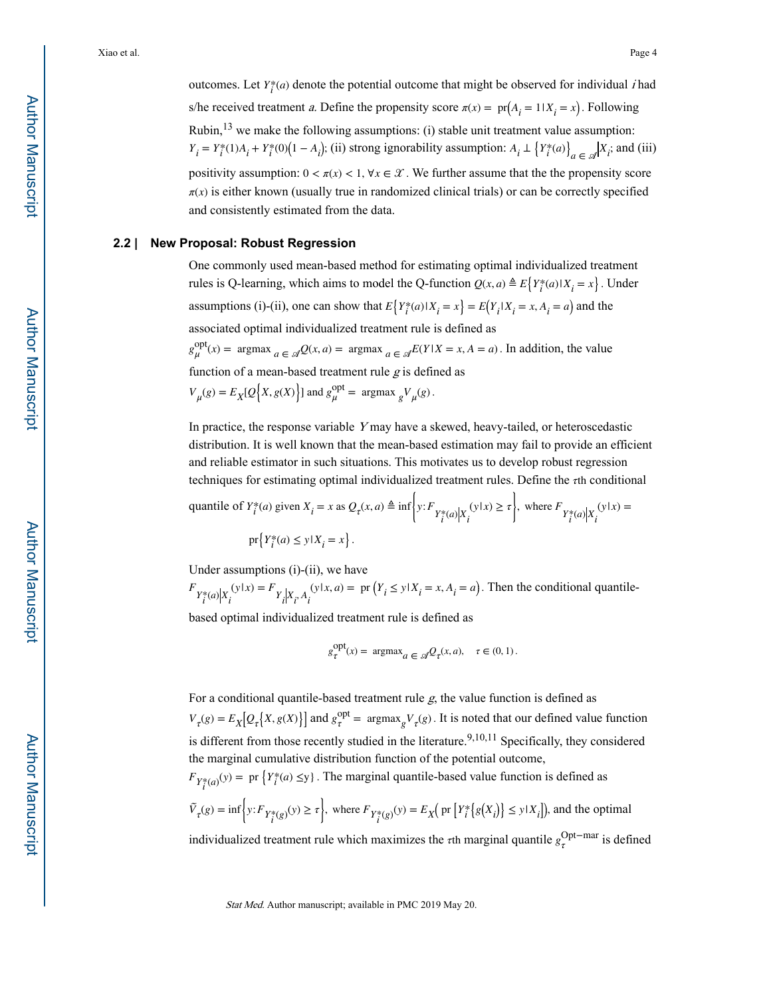outcomes. Let  $Y^*_{\tau}(a)$  denote the potential outcome that might be observed for individual *i* had s/he received treatment *a*. Define the propensity score  $\pi(x) = \text{pr}(A_i = 1 | X_i = x)$ . Following Rubin,<sup>13</sup> we make the following assumptions: (i) stable unit treatment value assumption:  $Y_i = Y_i^*(1)A_i + Y_i^*(0)(1 - A_i)$ ; (ii) strong ignorability assumption:  $A_i \perp \{Y_i^*(a)\}_{a \in \mathcal{A}} | X_i$ ; and (iii) positivity assumption:  $0 < \pi(x) < 1$ ,  $\forall x \in \mathcal{X}$ . We further assume that the the propensity score  $\pi(x)$  is either known (usually true in randomized clinical trials) or can be correctly specified and consistently estimated from the data.

#### **2.2 | New Proposal: Robust Regression**

One commonly used mean-based method for estimating optimal individualized treatment rules is Q-learning, which aims to model the Q-function  $Q(x, a) \triangleq E(Y_i^*(a)|X_i = x)$ . Under assumptions (i)-(ii), one can show that  $E\{Y_i^*(a)|X_i = x\} = E(Y_i|X_i = x, A_i = a)$  and the

associated optimal individualized treatment rule is defined as

 $g_{\mu}^{\text{opt}}(x) = \text{argmax}_{a \in \mathcal{A}} Q(x, a) = \text{argmax}_{a \in \mathcal{A}} E(Y | X = x, A = a)$ . In addition, the value function of a mean-based treatment rule  $g$  is defined as

$$
V_{\mu}(g) = E_X[Q\Big\{X, g(X)\Big\}] \text{ and } g_{\mu}^{\text{opt}} = \text{ argmax }_{g} V_{\mu}(g).
$$

In practice, the response variable Y may have a skewed, heavy-tailed, or heteroscedastic distribution. It is well known that the mean-based estimation may fail to provide an efficient and reliable estimator in such situations. This motivates us to develop robust regression techniques for estimating optimal individualized treatment rules. Define the *τ*th conditional

quantile of  $Y_i^*(a)$  given  $X_i = x$  as  $Q_\tau(x, a) \triangleq \inf \left\{ y : F_{Y_i^*(a)} | X_i \right\}$  $(y|x) \ge \tau$ , where  $F_{Y_i^*(a)}|X_i$  $(y|x) =$ 

$$
\text{pr}\left\{Y_i^*(a) \le y \mid X_i = x\right\}.
$$

Under assumptions (i)-(ii), we have

 $F_{Y_i^*(a)}|X_i$  $(y|x) = F_{Y_i|X_i, A_i}(y|x, a) = pr(Y_i \le y|X_i = x, A_i = a)$ . Then the conditional quantile-

based optimal individualized treatment rule is defined as

$$
g_{\tau}^{\text{opt}}(x) = \operatorname{argmax}_{a \in \mathcal{A}} Q_{\tau}(x, a), \quad \tau \in (0, 1).
$$

For a conditional quantile-based treatment rule  $g$ , the value function is defined as  $V_{\tau}(g) = E_X[Q_{\tau}[X, g(X)]$  and  $g_{\tau}^{\text{opt}} = \text{argmax}_g V_{\tau}(g)$ . It is noted that our defined value function is different from those recently studied in the literature.<sup>9,10,11</sup> Specifically, they considered the marginal cumulative distribution function of the potential outcome,

 $F_{Y_i^*(a)}(y) = \text{pr } \{Y_i^*(a) \leq y\}$ . The marginal quantile-based value function is defined as

$$
\widetilde{V}_{\tau}(g) = \inf \left\{ y \colon F_{Y_i^*(g)}(y) \ge \tau \right\}, \text{ where } F_{Y_i^*(g)}(y) = E_X\left( \text{ pr}\left[ Y_i^*\left\{ g(X_i) \right\} \le y \mid X_i \right] \right), \text{ and the optimal}
$$

individualized treatment rule which maximizes the  $\tau$ th marginal quantile  $g_{\tau}^{\text{Opt-max}}$  is defined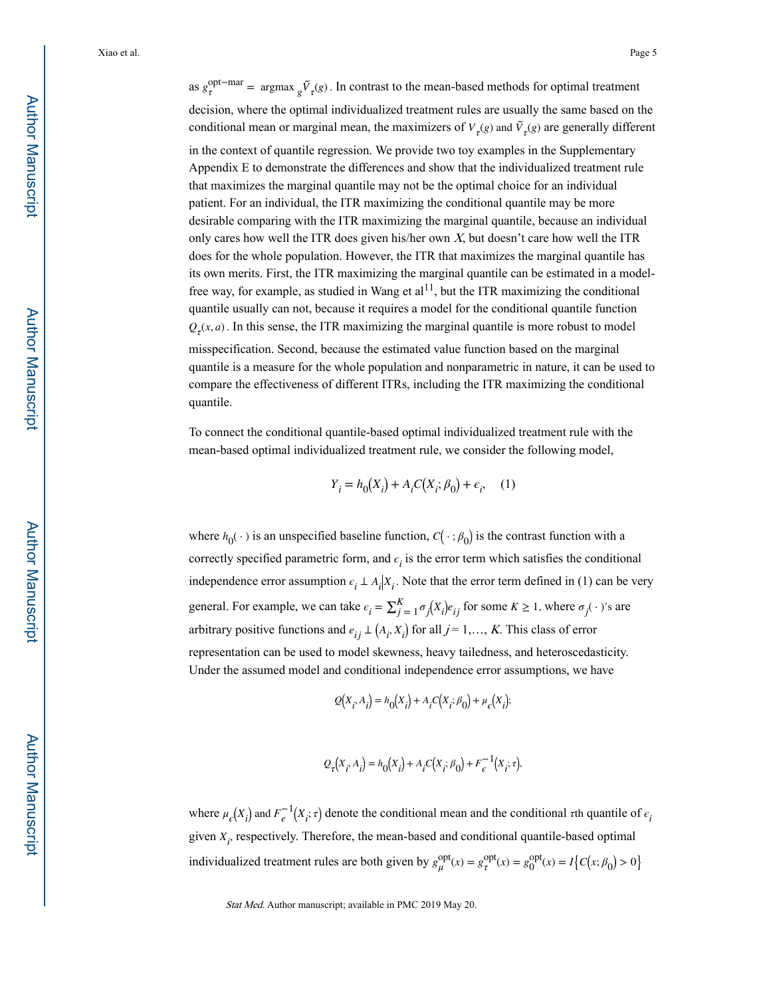as  $g_{\tau}^{\text{opt-max}} = \argmax_{g} \tilde{V}_{\tau}(g)$ . In contrast to the mean-based methods for optimal treatment decision, where the optimal individualized treatment rules are usually the same based on the conditional mean or marginal mean, the maximizers of  $V_\tau(g)$  and  $\tilde{V}_\tau(g)$  are generally different in the context of quantile regression. We provide two toy examples in the Supplementary Appendix E to demonstrate the differences and show that the individualized treatment rule that maximizes the marginal quantile may not be the optimal choice for an individual patient. For an individual, the ITR maximizing the conditional quantile may be more desirable comparing with the ITR maximizing the marginal quantile, because an individual only cares how well the ITR does given his/her own  $X$ , but doesn't care how well the ITR does for the whole population. However, the ITR that maximizes the marginal quantile has its own merits. First, the ITR maximizing the marginal quantile can be estimated in a modelfree way, for example, as studied in Wang et  $al<sup>11</sup>$ , but the ITR maximizing the conditional quantile usually can not, because it requires a model for the conditional quantile function  $Q_{\tau}(x, a)$ . In this sense, the ITR maximizing the marginal quantile is more robust to model (*x*, *a*) . In this sense, the ITR maximizing the marginal quantile can be estimated in a mode way, for example, as studied in Wang et al<sup>11</sup>, but the ITR maximizing the conditional antile usually can not, because it req

misspecification. Second, because the estimated value function based on the marginal quantile is a measure for the whole population and nonparametric in nature, it can be used to compare the effectiveness of different ITRs, including the ITR maximizing the conditional quantile.

To connect the conditional quantile-based optimal individualized treatment rule with the mean-based optimal individualized treatment rule, we consider the following model,

$$
Y_i = h_0(X_i) + A_i C(X_i; \beta_0) + \epsilon_i, \quad (1)
$$

where  $h_0(\cdot)$  is an  $Y_i = h_0(X_i) + A_i C(X_i; \beta_0) + \epsilon_i$ , (1)<br>( ⋅ ) is an unspecified baseline function,  $C(\cdot; \beta_0)$  is the conspecified parametric form, and  $\epsilon_i$  is the error term which  $_{0}$ ) is the contrast function with a correctly specified parametric form, and  $\epsilon_i$  is the error term which satisfies the conditional independence error assumption  $\epsilon_i \perp A_i | X_i$ . Note that the error term defined in (1) can be very general. For example, we can take  $\epsilon_i = \sum_{j=1}^{K} \sigma_j (X_i) e^{i\theta}$ *i f*<sub>0</sub>) is the contrast function with a<br>or term which satisfies the conditions<br>the error term defined in (1) can be  $\lambda_{ij}$ <br>for some  $K \ge 1$ , where  $\sigma_j(\cdot)$ 's are<br>= 1,..., *K*. This class of error arbitrary positive functions and  $e_{ij} \perp (A_i, X_i)$  for all  $j = 1, \ldots, K$ . This class of error representation can be used to model skewness, heavy tailedness, and heteroscedasticity. Under the assumed model and conditional independence error assumptions, we have

$$
Q(X_i, A_i) = h_0(X_i) + A_i C(X_i; \beta_0) + \mu_{\epsilon}(X_i);
$$

$$
Q_{\tau}(X_i, A_i) = h_0(X_i) + A_i C(X_i; \beta_0) + F_{\epsilon}^{-1}(X_i; \tau),
$$

where  $\mu_e(X_i)$  and  $F_e^{-1}(X_i; \tau)$  denote the conditional mean and the conditional  $\tau$ th quantile of  $\epsilon_i$ *i* given *Xi*, respectively. Therefore, the mean-based and conditional quantile-based optimal individualized treatment rules are both given by  $g_{\mu}^{\text{opt}}(x) = g_{\tau}^{\text{opt}}(x) = g_0^{\text{opt}}(x) = I\{C(x; \beta_0) > 0\}$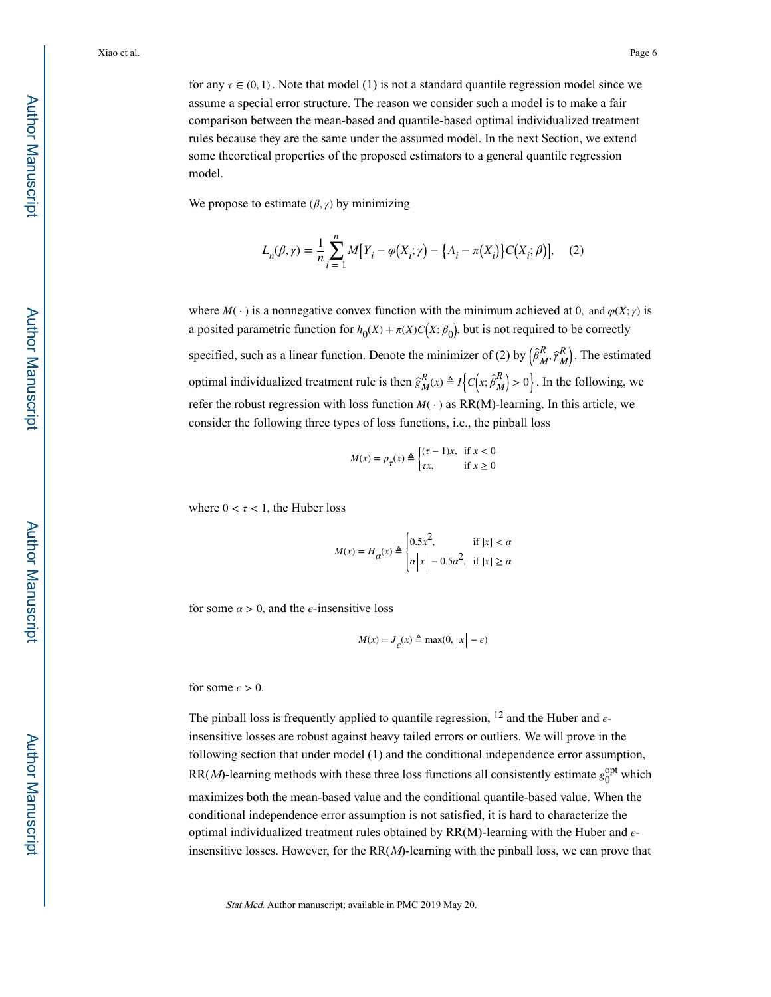for any  $\tau \in (0, 1)$ . Note that model (1) is not a standard quantile regression model since we assume a special error structure. The reason we consider such a model is to make a fair comparison between the mean-based and quantile-based optimal individualized treatment rules because they are the same under the assumed model. In the next Section, we extend some theoretical properties of the proposed estimators to a general quantile regression model.

We propose to estimate  $(\beta, \gamma)$  by minimizing

$$
L_n(\beta, \gamma) = \frac{1}{n} \sum_{i=1}^n M[Y_i - \varphi(X_i; \gamma) - \{A_i - \pi(X_i)\} C(X_i; \beta)], \quad (2)
$$

 $L_n(\beta, \gamma) = \frac{1}{n} \sum_{i=1}^{n} M[Y_i - \varphi(X_i; \gamma) - \{A_i - \pi(X_i)\} C(X_i; \beta)],$  (2)<br>where  $M(\cdot)$  is a nonnegative convex function with the minimum achieved at 0, and  $\varphi(X; \gamma)$  is<br>a posited parametric function for  $h_0(X) + \pi(X) C(X; \beta_0)$ , but a posited parametric function for  $h_0(X) + \pi(X)C(X; \beta_0)$ , but is not required to be correctly specified, such as a linear function. Denote the minimizer of (2) by  $(\hat{\beta}_M^R, \hat{\gamma}_M^R)$ . The estimated optimal individualized treatment rule is then  $\hat{g}_M^R(x) \triangleq I\Big\{C\Big(x;\hat{\beta}_M^R\Big) > 0\Big\}$ . In the following, we a posited parametric random for  $n_0(x) + \lambda(x) c(x, \rho_0)$ , but is not required to be correctly<br>specified, such as a linear function. Denote the minimizer of (2) by  $(\hat{\beta}_M^R, \hat{\gamma}_M^R)$ . The estimat<br>optimal individualized treat consider the following three types of loss functions, i.e., the pinball loss

$$
M(x) = \rho_{\tau}(x) \triangleq \begin{cases} (\tau - 1)x, & \text{if } x < 0\\ \tau x, & \text{if } x \ge 0 \end{cases}
$$

where  $0 < \tau < 1$ , the Huber loss

$$
M(x) = H_{\alpha}(x) \triangleq \begin{cases} 0.5x^2, & \text{if } |x| < \alpha \\ \alpha |x| - 0.5\alpha^2, & \text{if } |x| \ge \alpha \end{cases}
$$

for some  $\alpha > 0$ , and the  $\epsilon$ -insensitive loss

$$
M(x) = J_{\epsilon}(x) \triangleq \max(0, |x| - \epsilon)
$$

 $M(x) = J_{\epsilon}(x) \triangleq \max(0, |x| - \epsilon)$ <br>for some  $\epsilon > 0$ .<br>The pinball loss is frequently applied to quantile regression, <sup>12</sup> and the Huber and  $\epsilon$ insensitive losses are robust against heavy tailed errors or outliers. We will prove in the following section that under model (1) and the conditional independence error assumption, RR(*M*)-learning methods with these three loss functions all consistently estimate  $g_0^{\text{opt}}$  which maximizes both the mean-based value and the conditional quantile-based value. When the conditional independence error assumption is not satisfied, it is hard to characterize the optimal individualized treatment rules obtained by RR(M)-learning with the Huber and *ϵ*insensitive losses. However, for the  $RR(M)$ -learning with the pinball loss, we can prove that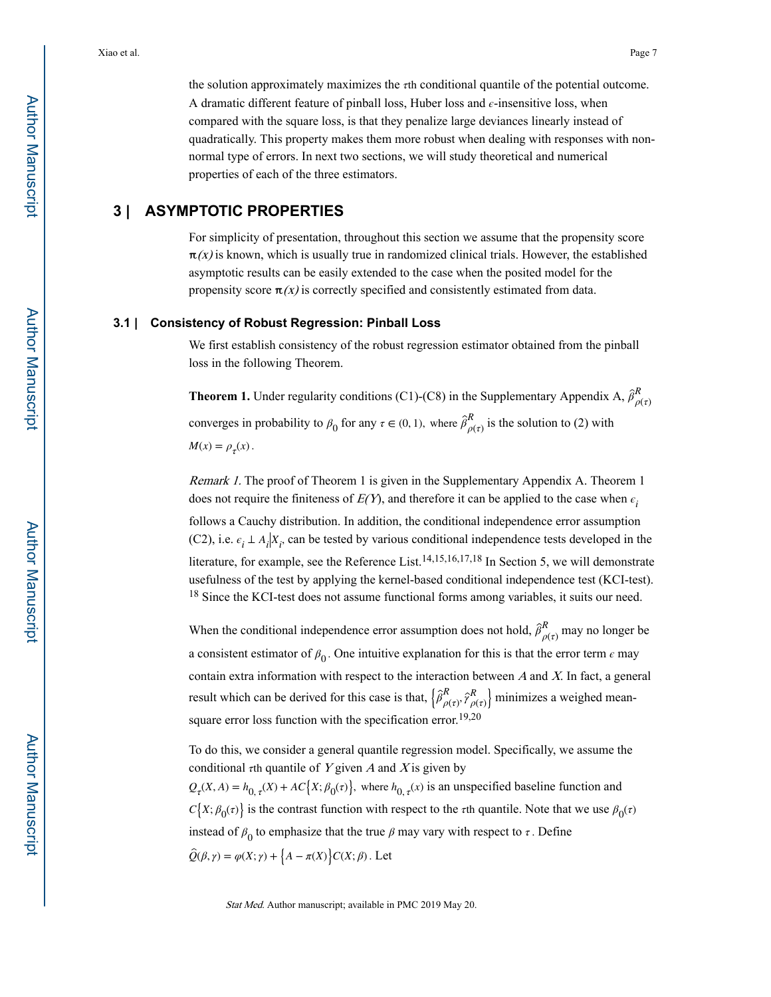the solution approximately maximizes the *τ*th conditional quantile of the potential outcome. A dramatic different feature of pinball loss, Huber loss and *ϵ*-insensitive loss, when compared with the square loss, is that they penalize large deviances linearly instead of quadratically. This property makes them more robust when dealing with responses with nonnormal type of errors. In next two sections, we will study theoretical and numerical properties of each of the three estimators.

# **3 | ASYMPTOTIC PROPERTIES**

For simplicity of presentation, throughout this section we assume that the propensity score  $\pi(x)$  is known, which is usually true in randomized clinical trials. However, the established asymptotic results can be easily extended to the case when the posited model for the propensity score  $\pi(x)$  is correctly specified and consistently estimated from data.

#### **3.1 | Consistency of Robust Regression: Pinball Loss**

We first establish consistency of the robust regression estimator obtained from the pinball loss in the following Theorem.

**Theorem 1.** Under regularity conditions (C1)-(C8) in the Supplementary Appendix A,  $\beta_{\rho(\tau)}^R$ *R* converges in probability to  $\beta_0$  for any  $\tau \in (0, 1)$ , where  $\beta_{\rho(\tau)}^{\kappa}$  is the solution to (2) with  $R$ <sub>o( $\tau$ )</sub> is the solution to (2) with  $M(x) = \rho_{\tau}(x)$ .

Remark 1. The proof of Theorem 1 is given in the Supplementary Appendix A. Theorem 1 does not require the finiteness of  $E(Y)$ , and therefore it can be applied to the case when  $\epsilon$ , *i*

follows a Cauchy distribution. In addition, the conditional independence error assumption (C2), i.e.  $\epsilon_i \perp A_i | X_i$ , can be tested by various conditional independence tests developed in the literature, for example, see the Reference List.<sup>14,15,16,17,18</sup> In Section 5, we will demonstrate usefulness of the test by applying the kernel-based conditional independence test (KCI-test). <sup>18</sup> Since the KCI-test does not assume functional forms among variables, it suits our need.

When the conditional independence error assumption does not hold,  $\beta_{\rho(\tau)}^{\Lambda}$  may n  $R$ <sub>o( $\tau$ </sub>) may no longer be a consistent estimator of  $\beta_0$ . One intuitive explanation for this is that the error term  $\epsilon$  may contain extra information with respect to the interaction between  $A$  and  $X$ . In fact, a general result which can be derived for this case is that,  $\left\{\beta^{\prime\prime}_{\rho(\tau)}\right\}$ *R*<sub> $ρ(τ)$ </sub>,  $\hat{\gamma}^R_{ρ(τ)}$  $\left\{\n \begin{array}{c}\n R \\
 \hline\n a(x)\n \end{array}\n \right\}$  minimizes a weighed meansquare error loss function with the specification error.<sup>19,20</sup>

To do this, we consider a general quantile regression model. Specifically, we assume the conditional *τ*th quantile of Y given A and X is given by  $Q_{\tau}(X, A) = h_{0, \tau}(X) + AC[X; \beta_0(\tau)]$ , where  $h_{0, \tau}(x)$  is an unspecified baseline function and  $C[X; \beta_0(\tau)]$  is the contrast function with respect to the  $\tau$ th quantile. Note that we use  $\beta_0(\tau)$ instead of  $\beta_0$  to emphasize that the true  $\beta$  may vary with respect to  $\tau$ . Define  $\hat{Q}(\beta, \gamma) = \varphi(X; \gamma) + \{A - \pi(X)\} C(X; \beta)$ . Let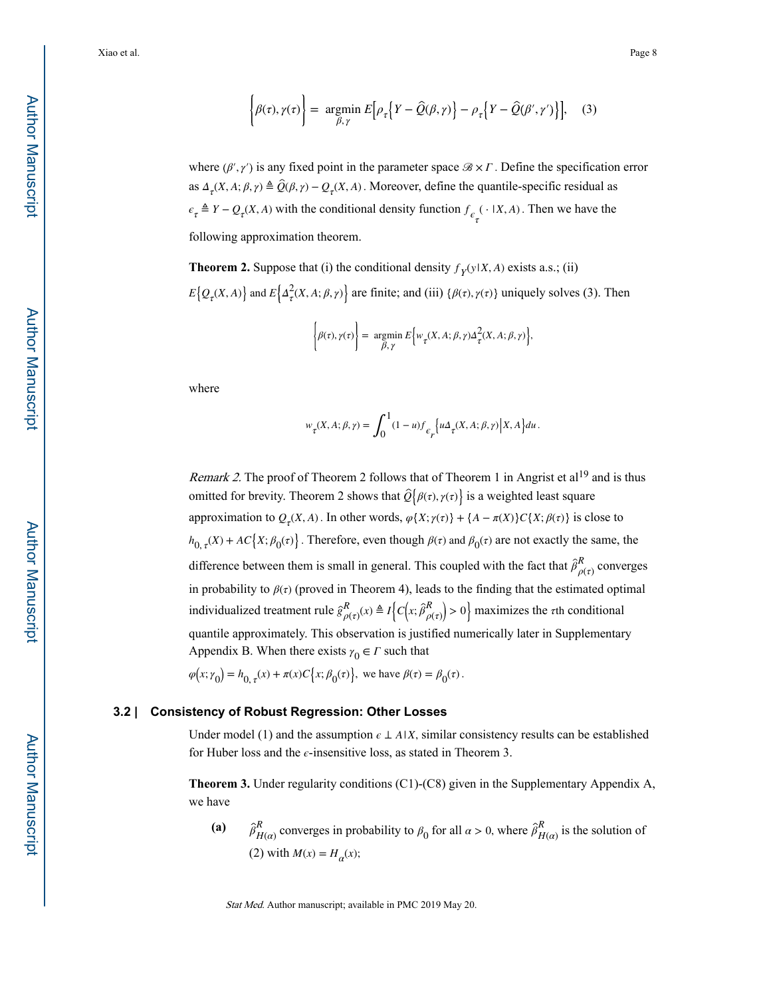$\left\{\beta(\tau), \gamma(\tau)\right\} = \operatorname*{argmin}_{\beta, \gamma} E\left[\rho_{\tau}\left\{Y - \hat{Q}(\beta, \gamma)\right\} - \rho_{\tau}\left\{Y - \hat{Q}(\beta', \gamma')\right\}\right],$  (3)<br>where  $(\beta', \gamma')$  is any fixed point in the parameter space  $\Re \times \Gamma$ . Define the specification error<br>as  $\Delta_{\tau}(X, A; \beta, \gamma) \triangleq \hat{Q}$ as  $\Delta_{\tau}(X, A; \beta, \gamma) \triangleq Q(\beta, \gamma) - Q_{\tau}(X, A)$ . Moreover, define the quantile-specific residual as  $\epsilon_{\tau} \triangleq Y - Q_{\tau}(X, A)$  with the conditional density function  $f_{\epsilon_{\tau}}(\cdot | X, A)$ . Then we have the following approximation theorem.

**Theorem 2.** Suppose that (i) the conditional density  $f_Y(y|X, A)$  exists a.s.; (ii)  $E\left\{Q_\tau(X,A)\right\}$  and  $E\left\{\Delta_\tau^2(X,A;\beta,\gamma)\right\}$  are finite; and (iii)  $\{\beta(\tau),\gamma(\tau)\}\$ uniquely solves (3). Then

$$
\left\{\beta(\tau), \gamma(\tau)\right\} = \operatorname*{argmin}_{\beta, \gamma} E\Big\{w_{\tau}(X, A; \beta, \gamma) \Delta_{\tau}^{2}(X, A; \beta, \gamma)\Big\},\
$$

where

$$
w_{\tau}(X, A; \beta, \gamma) = \int_0^1 (1 - u) f_{\epsilon_r} \left\{ u \Delta_{\tau}(X, A; \beta, \gamma) \Big| X, A \right\} du.
$$

*Remark 2.* The proof of Theorem 2 follows that of Theorem 1 in Angrist et al<sup>19</sup> and is thus omitted for brevity. Theorem 2 shows that  $\hat{Q} \{ \beta(\tau), \gamma(\tau) \}$  is a weighted least square approximation to  $Q_{\tau}(X, A)$ . In other words,  $\varphi\{X; \gamma(\tau)\} + \{A - \pi(X)\} C\{X; \beta(\tau)\}$  is close to  $h_{0,\tau}(X) + AC\{X; \beta_0(\tau)\}\.$  Therefore, even though  $\beta(\tau)$  and  $\beta_0(\tau)$  are not exactly the same, the difference between them is small in general. This coupled with the fact that  $\beta_{\rho(\tau)}^{\Lambda}$  convert  $R$  converges in probability to  $\beta(\tau)$  (proved in Theorem 4), leads to the finding that the estimated optimal individualized treatment rule  $\hat{g}^R_{\rho(\tau)}$  $R_{\rho(\tau)}(x) \triangleq I\Big\{C\Big(x;\hat{\beta}^R_{\rho(\tau)}\Big)$  $\binom{R}{a(\tau)} > 0$  maximizes the *τ*<sup>th</sup> conditional quantile approximately. This observation is justified numerically later in Supplementary Appendix B. When there exists  $\gamma_0 \in \Gamma$  such that  $\varphi(x; \gamma_0) = h_{0, \tau}(x) + \pi(x)C\{x; \beta_0(\tau)\},$  we have  $\beta(\tau) = \beta_0(\tau)$ .

#### **3.2 | Consistency of Robust Regression: Other Losses**

Under model (1) and the assumption  $\epsilon \perp A|X$ , similar consistency results can be established for Huber loss and the  $\epsilon$ -insensitive loss, as stated in Theorem 3.

**Theorem 3.** Under regularity conditions (C1)-(C8) given in the Supplementary Appendix A, we have

**(a)**  $\hat{\beta}_{H(\alpha)}^R$  converges in probability to  $\beta_0$  for all  $\alpha > 0$ , where  $\hat{\beta}_{H(\alpha)}^R$  is the solution of (c) all *α* > 0, where  $\hat{\beta}_{H(\alpha)}^R$  is the  $R$ <sub>*H*(*a*)</sub> is the solution of (2) with  $M(x) = H_{\alpha}(x)$ ;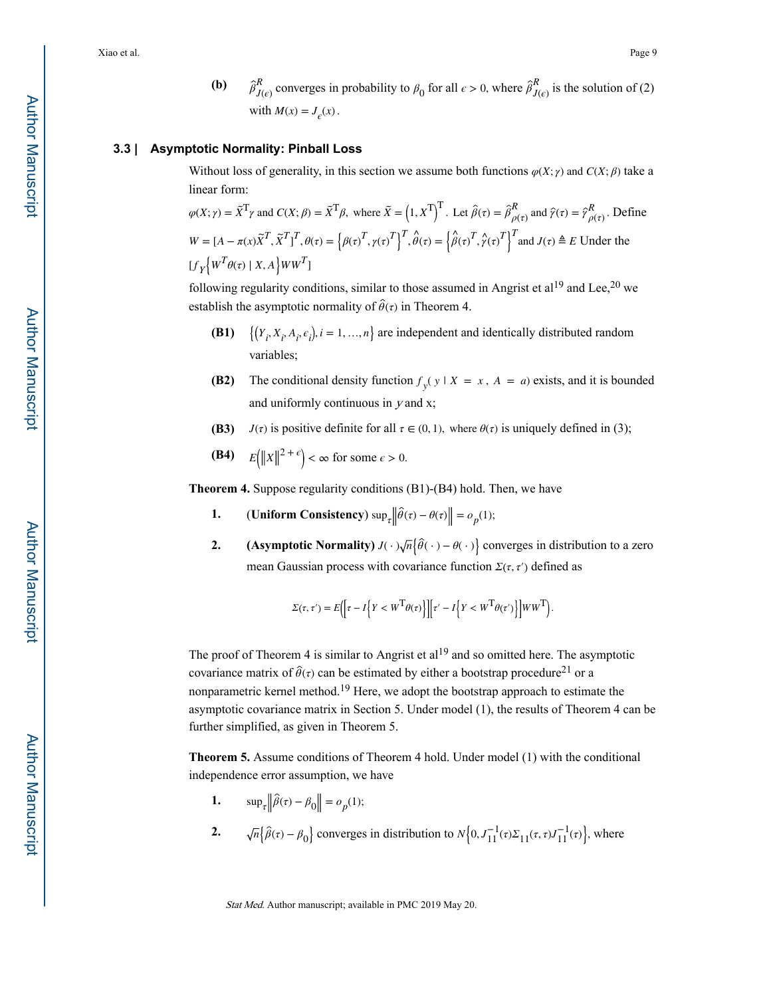**(b)**  $\hat{\beta}^R_{J(\epsilon)}$  convert *R* converges in probability to  $\beta_0$  for all  $\epsilon > 0$ , where  $\hat{\beta}^R_{J(\epsilon)}$  is the solution of (2) for all  $\epsilon > 0$ , where  $\hat{\beta}^R_{J(\epsilon)}$  is the :  $J(\epsilon)$ <sup>15  $\mu$ </sup>  $R$ <sub>*I(c)*</sub> is the solution of (2) with  $M(x) = J_{\epsilon}(x)$ .

#### **3.3 | Asymptotic Normality: Pinball Loss**

Without loss of generality, in this section we assume both functions  $\varphi(X; \gamma)$  and  $C(X; \beta)$  take a linear form:

$$
\varphi(X; \gamma) = \tilde{X}^T \gamma \text{ and } C(X; \beta) = \tilde{X}^T \beta, \text{ where } \tilde{X} = (1, X^T)^T. \text{ Let } \hat{\beta}(\tau) = \hat{\beta}_{\rho(\tau)}^R \text{ and } \hat{\gamma}(\tau) = \hat{\gamma}_{\rho(\tau)}^R. \text{ Define}
$$
\n
$$
W = [A - \pi(x)\tilde{X}^T, \tilde{X}^T]^T, \theta(\tau) = \left\{\beta(\tau)^T, \gamma(\tau)^T\right\}^T, \hat{\theta}(\tau) = \left\{\hat{\beta}(\tau)^T, \hat{\gamma}(\tau)^T\right\}^T \text{ and } J(\tau) \triangleq E \text{ Under the}
$$
\n
$$
[f_Y \{W^T \theta(\tau) \mid X, A\} W W^T]
$$

following regularity conditions, similar to those assumed in Angrist et al<sup>19</sup> and Lee,<sup>20</sup> we establish the asymptotic normality of  $\hat{\theta}(\tau)$  in Theorem 4.

- **(B1)**  $\{ (Y_i, X_i, A_i, \epsilon_i), i = 1, ..., n \}$  are independent and identically distributed random variables;
- **(B2)** The conditional density function  $f_y(y \mid X = x, A = a)$  exists, and it is bounded and uniformly continuous in y and x; aly continuous in *y* and *x* ive definite for all  $\tau \in (0, 0)$ <br>  $< \infty$  for some  $\epsilon > 0$ .<br>
gularity conditions (B1)-
- **(B3)** *J*(*τ*) is positive definite for all  $\tau \in (0, 1)$ , where  $\theta(\tau)$  is uniquely defined in (3);

**(B4)** 
$$
E(||X||^{2+\epsilon}) < \infty
$$
 for some  $\epsilon > 0$ .

**Theorem 4.** Suppose regularity conditions (B1)-(B4) hold. Then, we have

- **1.** (**Uniform Consistency**)  $\sup_{\tau} \left\| \hat{\theta}(\tau) \theta(\tau) \right\| = o_p(1);$
- **2. (Asymptotic Normality)**  $J(\cdot)\sqrt{n} \{\hat{\theta}(\cdot) \theta(\cdot)\}$  converges in distribution to a zero mean Gaussian process with covariance function  $\Sigma(\tau, \tau')$  defined as

$$
\Sigma(\tau, \tau') = E\Big(\Big[\tau - I\Big\{Y < W^{\mathrm{T}}\theta(\tau)\Big\}\Big]\Big[\tau' - I\Big\{Y < W^{\mathrm{T}}\theta(\tau')\Big\}\Big]WW^{\mathrm{T}}\Big).
$$

The proof of Theorem 4 is similar to Angrist et  $al<sup>19</sup>$  and so omitted here. The asymptotic covariance matrix of  $\hat{\theta}(\tau)$  can be estimated by either a bootstrap procedure<sup>21</sup> or a nonparametric kernel method.19 Here, we adopt the bootstrap approach to estimate the asymptotic covariance matrix in Section 5. Under model (1), the results of Theorem 4 can be further simplified, as given in Theorem 5.

**Theorem 5.** Assume conditions of Theorem 4 hold. Under model (1) with the conditional independence error assumption, we have

- **1.**  $\sup_{\tau} \|\hat{\beta}(\tau) \beta_0\| = o_p(1);$
- **2.**  $\sqrt{n} \left\{ \hat{\beta}(\tau) \beta_0 \right\}$  converges in distribution to  $N \left\{ 0, J_{11}^{-1} \right\}$  $\left\{\frac{-1}{11}(\tau)\sum_{1}^{n}(\tau,\tau)J_{11}^{-1}(\tau)\right\}$ , where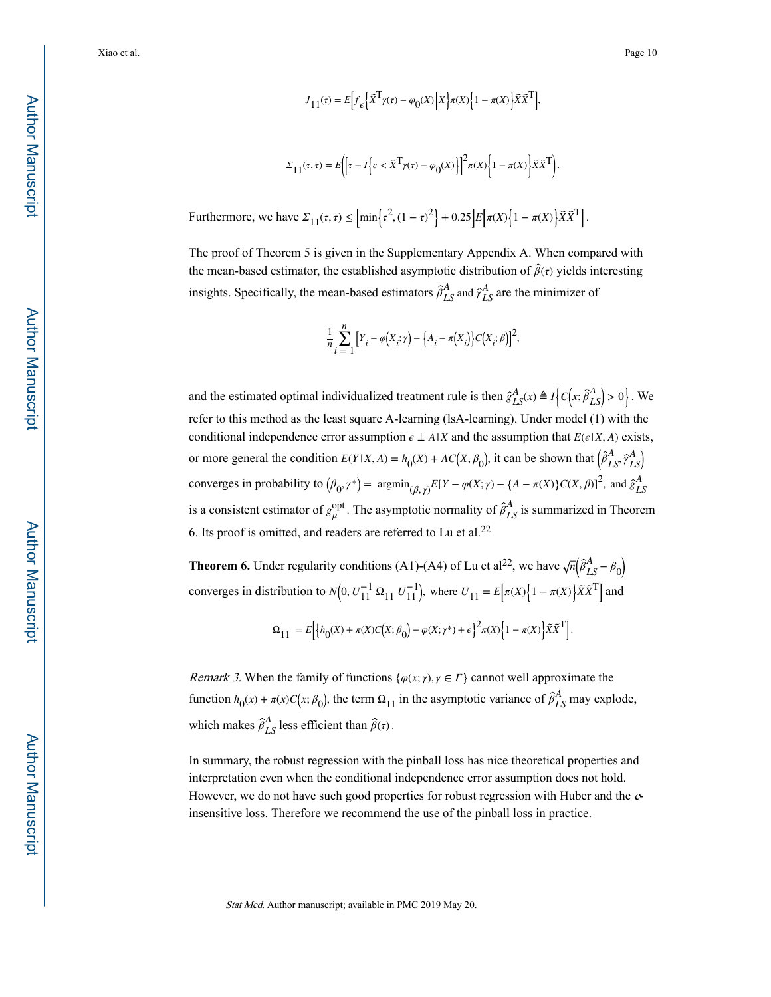$$
J_{11}(\tau)=E\Big[ f_{\epsilon}\Big[\widetilde{X}^{\text{T}}\gamma(\tau)-\varphi_{0}(X)\Big|X\Big]\pi(X)\Big\{1-\pi(X)\Big\}\widetilde{X}\widetilde{X}^{\text{T}}\Big],
$$

$$
\varSigma_{11}(\tau,\tau)=E\bigg[\Big[\tau-I\Big\{\epsilon<\widetilde{X}^{\text{T}}\gamma(\tau)-\varphi_0(X)\Big\}\big]^2\pi(X)\Big\{1-\pi(X)\Big\}\widetilde{X}\widetilde{X}^{\text{T}}\bigg].
$$

Furthermore, we have  $\Sigma_{11}(\tau, \tau) \leq \left[ \min \left\{ \tau^2, (1-\tau)^2 \right\} + 0.25 \right] E \left[ \pi(X) \left\{ 1 - \pi(X) \right\} \tilde{X} \tilde{X}^{\text{T}} \right].$ 

The proof of Theorem 5 is given in the Supplementary Appendix A. When compared with the mean-based estimator, the established asymptotic distribution of  $\hat{\beta}(\tau)$  yields interesting insights. Specifically, the mean-based estimators  $\hat{\beta}_{LS}^A$  $^{A}_{LS}$  and  $\hat{\gamma}^{A}_{LS}$  $^{A}_{I,\text{S}}$  are the minimizer of

$$
\frac{1}{n}\sum_{i=-1}^n\big[Y_i-\varphi\big(X_i;\gamma\big)-\big\{A_i-\pi\big(X_i\big)\big\}C\big(X_i;\beta\big)\big]^2,
$$

and the estimated optimal individualized treatment rule is then  $\hat{g}_{LS}^{A}$  $\mathcal{A}_{LS}(x) \triangleq I \Big\{ C \Big(x; \hat{\beta}_{LS}^A \Big)$  ${A \choose I, S} > 0$ . We refer to this method as the least square A-learning (lsA-learning). Under model (1) with the conditional independence error assumption  $\epsilon \perp A|X$  and the assumption that  $E(\epsilon|X, A)$  exists, or more general the condition  $E(Y|X, A) = h_0(X) + AC(X, \beta_0)$ , it can be shown that  $\left(\beta_{LS}^A\right)$ *A* , *γ LS A* converges in probability to  $(\beta_0, \gamma^*)$  =  $\operatorname{argmin}_{(\beta, \gamma)} E[Y - \varphi(X; \gamma) - \{A - \pi(X)\} C(X, \beta)]^2$ , and  $\hat{g}_{LS}^A$ *A* is a consistent estimator of  $g_{\mu}^{\text{opt}}$ . The asymptotic normality of  $\hat{\beta}_{LS}^A$  is summarized in T  $^{A}_{I S}$  is summarized in Theorem 6. Its proof is omitted, and readers are referred to Lu et al.<sup>22</sup>

**Theorem 6.** Under regularity conditions (A1)-(A4) of Lu et al<sup>22</sup>, we have  $\sqrt{n}$   $\hat{\beta}_{LS}^{A}$  $\frac{A}{LS} - \beta_0$ converges in distribution to  $N(0, U_{11}^{-1} \Omega_{11} U_{11}^{-1})$ , where  $U_{11} = E\left[\pi(X)\left\{1 - \pi(X)\right\}\tilde{X}\tilde{X}^T\right\}$  and

$$
\Omega_{11} = E\Big[\Big\{h_0(X) + \pi(X)C\big(X;\beta_0\big) - \varphi(X;\gamma^*) + \epsilon\Big\}^2\pi(X)\Big\{1 - \pi(X)\Big\}\widetilde{X}\widetilde{X}^{\rm T}\Big].
$$

*Remark 3.* When the family of functions  $\{\varphi(x; \gamma), \gamma \in \Gamma\}$  cannot well approximate the function  $h_0(x) + \pi(x)C(x;\beta_0)$ , the term  $\Omega_{11}$  in the asymptotic variance of  $\hat{\beta}_{LS}^A$  may explode,  $^{A}_{I,S}$  may explode, which makes  $\beta_{LS}^A$  less efficient than  $\beta$  $A_{\text{loss}}$  officient than  $\hat{\theta}$ the family of functions { $\varphi$ (*x*; (*x*)  $C(x; \beta_0)$ , the term  $\Omega_{11}$  in the less efficient than  $\hat{\beta}(\tau)$ .<br>
between than  $\hat{\beta}(\tau)$ .

In summary, the robust regression with the pinball loss has nice theoretical properties and interpretation even when the conditional independence error assumption does not hold. However, we do not have such good properties for robust regression with Huber and the  $e$ insensitive loss. Therefore we recommend the use of the pinball loss in practice.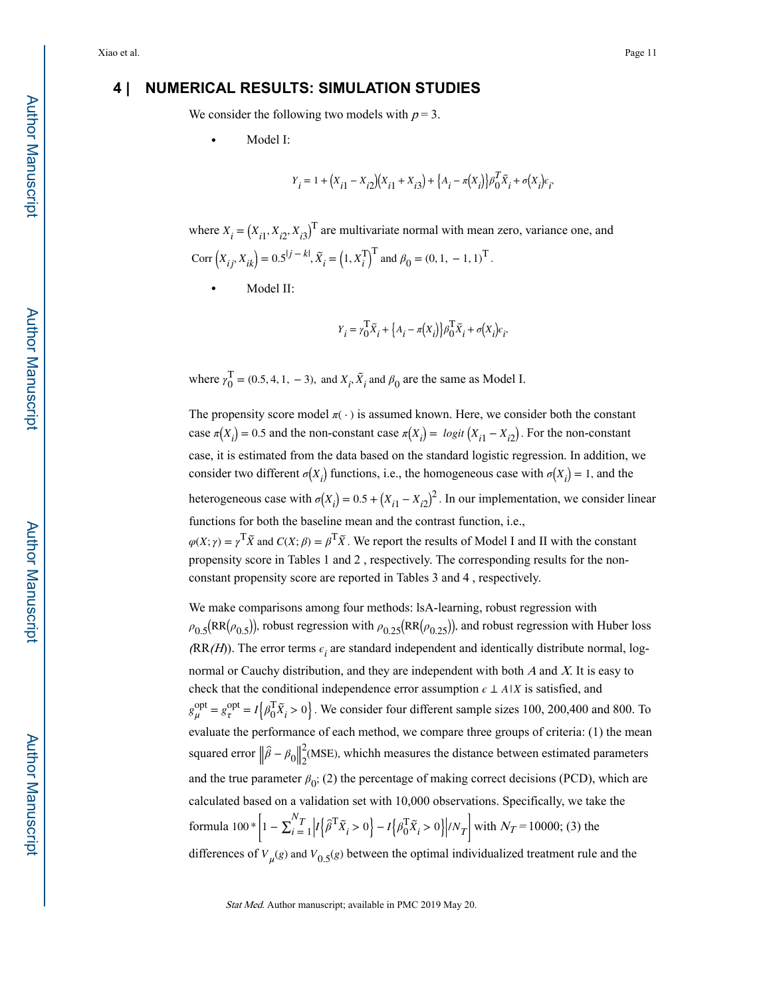## **4 | NUMERICAL RESULTS: SIMULATION STUDIES**

We consider the following two models with  $p = 3$ .

**•** Model I:

$$
Y_i = 1 + (X_{i1} - X_{i2})(X_{i1} + X_{i3}) + (A_i - \pi(X_i))\beta_0^T \tilde{X}_i + \sigma(X_i)\epsilon_i,
$$

where  $X_i = (X_{i1}, X_{i2}, X_{i3})^T$  are multivariate normal with mean zero, variance one, and  $Corr\left(X_{ij}, X_{ik}\right) = 0.5^{|j - k|}, \tilde{X}_i = \left(1, X_i^{\text{T}}\right)^{\text{T}}$  and  $\beta_0 = (0, 1, -1, 1)^{\text{T}}$ .

**•** Model II:

$$
\boldsymbol{Y}_i = \boldsymbol{\gamma}_0^{\text{T}} \boldsymbol{\tilde{X}}_i + \left\{\boldsymbol{A}_i - \pi \big(\boldsymbol{X}_i\big) \right\} \boldsymbol{\beta}_0^{\text{T}} \boldsymbol{\tilde{X}}_i + \sigma \big(\boldsymbol{X}_i \big) \boldsymbol{\epsilon}_i,
$$

where  $\gamma_0^T = (0.5, 4, 1, -3)$ , and  $X_i$ ,  $\tilde{X}_i$  and  $\beta_0$  are the same as Model I.

where  $\gamma_0^T = (0.5, 4, 1, -3)$ , and  $X_i$ ,  $\tilde{X}_i$  and  $\beta_0$  are the same as Model I.<br>The propensity score model  $\pi(\cdot)$  is assumed known. Here, we consider both the constant case  $\pi(X_i) = 0.5$  and the non-constant case case  $\pi(X_i) = 0.5$  and the non-constant case  $\pi(X_i) = logit(X_{i1} - X_{i2})$ . For the non-constant case, it is estimated from the data based on the standard logistic regression. In addition, we consider two different  $\sigma(X_i)$  functions, i.e., the homogeneous case with  $\sigma(X_i) = 1$ , and the heterogeneous case with  $\sigma(X_i) = 0.5 + (X_{i1} - X_{i2})^2$ . In our implementation, we consider linear functions for both the baseline mean and the contrast function, i.e.,  $\varphi(X; \gamma) = \gamma^T \tilde{X}$  and  $C(X; \beta) = \beta^T \tilde{X}$ . We report the results of Model I and II with the constant

propensity score in Tables 1 and 2 , respectively. The corresponding results for the nonconstant propensity score are reported in Tables 3 and 4 , respectively.

We make comparisons among four methods: lsA-learning, robust regression with  $\rho_{0.5}$ (RR( $\rho_{0.5}$ )), robust regression with  $\rho_{0.25}$ (RR( $\rho_{0.25}$ )), and robust regression with Huber loss  $(RR(H))$ . The error terms  $\epsilon_i$  are standard independent and identically distribute normal, lognormal or Cauchy distribution, and they are independent with both  $A$  and  $X$ . It is easy to check that the conditional independence error assumption  $\epsilon \perp A|X$  is satisfied, and  $g_{\mu}^{\text{opt}} = g_{\tau}^{\text{opt}} = I \left\{ \beta_0^{\text{T}} \right\}$  $\left\{ \frac{\partial \tilde{X}}{\partial \tilde{X}}_i > 0 \right\}$ . We consider four different sample sizes 100, 200,400 and 800. To evaluate the performance of each method, we compare three groups of criteria: (1) the mean squared error  $\left\|\hat{\beta} - \beta_0\right\|_2^2$  $\frac{2}{3}$ (MSE), whichh measures the distance between estimated parameters and the true parameter  $\beta_0$ ; (2) the percentage of making correct decisions (PCD), which are calculated based on a validation set with 10,000 observations. Specifically, we take the formula  $100 * 1 - \sum_{i=1}^{N_T} |I|\hat{\beta}^T \tilde{X}_i > 0 - I|\beta_0^T$  $\int_{0}^{T} \tilde{X}_{i} > 0$  / $N_{T}$  with  $N_{T} = 10000$ ; (3) the differences of  $V_{\mu}(g)$  and  $V_{0.5}(g)$  between the optimal individualized treatment rule and the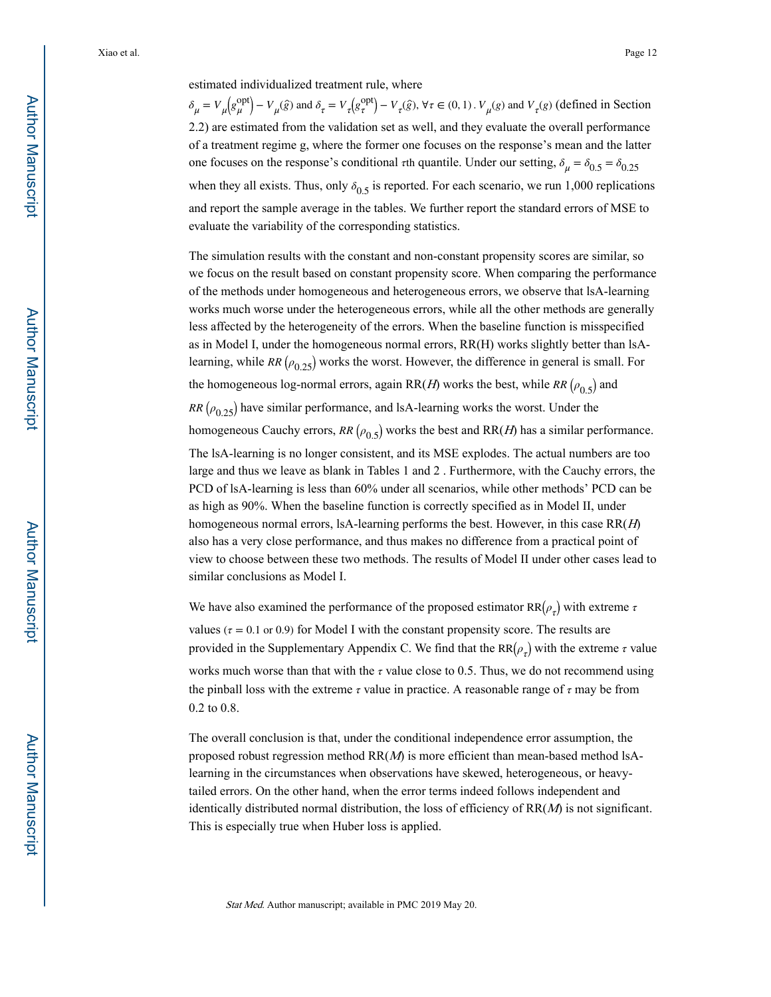estimated individualized treatment rule, where

 $\delta_{\mu} = V_{\mu} (g_{\mu}^{\text{opt}}) - V_{\mu}(\hat{g})$  and  $\delta_{\tau} = V_{\tau} (g_{\tau}^{\text{opt}}) - V_{\tau}(\hat{g}), \forall \tau \in (0, 1)$ .  $V_{\mu}(g)$  and  $V_{\tau}(g)$  (defined in Section 2.2) are estimated from the validation set as well, and they evaluate the overall performance of a treatment regime g, where the former one focuses on the response's mean and the latter one focuses on the response's conditional *τ*th quantile. Under our setting,  $δ<sub>μ</sub> = δ<sub>0.5</sub> = δ<sub>0.25</sub>$ when they all exists. Thus, only  $\delta_{0.5}$  is reported. For each scenario, we run 1,000 replications and report the sample average in the tables. We further report the standard errors of MSE to evaluate the variability of the corresponding statistics.

The simulation results with the constant and non-constant propensity scores are similar, so we focus on the result based on constant propensity score. When comparing the performance of the methods under homogeneous and heterogeneous errors, we observe that lsA-learning works much worse under the heterogeneous errors, while all the other methods are generally less affected by the heterogeneity of the errors. When the baseline function is misspecified as in Model I, under the homogeneous normal errors, RR(H) works slightly better than lsAlearning, while  $RR(\rho_{0.25})$  works the worst. However, the difference in general is small. For the homogeneous log-normal errors, again  $RR(H)$  works the best, while  $RR(\rho_{0.5})$  and *RR*  $(\rho_{0.25})$  have similar performance, and IsA-learning works the worst. Under the homogeneous Cauchy errors,  $RR(\rho_{0.5})$  works the best and  $RR(H)$  has a similar performance. The lsA-learning is no longer consistent, and its MSE explodes. The actual numbers are too large and thus we leave as blank in Tables 1 and 2 . Furthermore, with the Cauchy errors, the PCD of lsA-learning is less than 60% under all scenarios, while other methods' PCD can be as high as 90%. When the baseline function is correctly specified as in Model II, under homogeneous normal errors, lsA-learning performs the best. However, in this case  $RR(H)$ also has a very close performance, and thus makes no difference from a practical point of view to choose between these two methods. The results of Model II under other cases lead to similar conclusions as Model I.

We have also examined the performance of the proposed estimator  $RR(\rho_{\tau})$  with extreme  $\tau$ values ( $\tau$  = 0.1 or 0.9) for Model I with the constant propensity score. The results are provided in the Supplementary Appendix C. We find that the  $RR(\rho_{\tau})$  with the extreme  $\tau$  value works much worse than that with the *τ* value close to 0.5. Thus, we do not recommend using the pinball loss with the extreme *τ* value in practice. A reasonable range of *τ* may be from 0.2 to 0.8.

The overall conclusion is that, under the conditional independence error assumption, the proposed robust regression method  $RR(M)$  is more efficient than mean-based method lsAlearning in the circumstances when observations have skewed, heterogeneous, or heavytailed errors. On the other hand, when the error terms indeed follows independent and identically distributed normal distribution, the loss of efficiency of RR(M) is not significant. This is especially true when Huber loss is applied.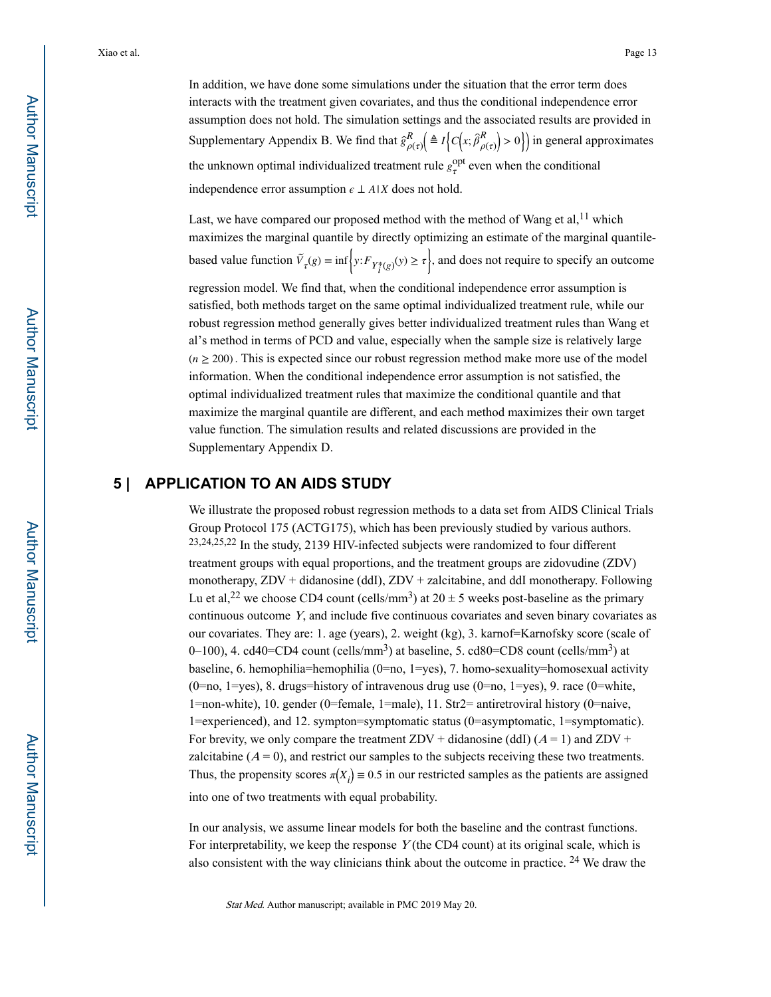In addition, we have done some simulations under the situation that the error term does interacts with the treatment given covariates, and thus the conditional independence error assumption does not hold. The simulation settings and the associated results are provided in Supplementary Appendix B. We find that  $\hat{g}^R_{\rho(\tau)} \left( \triangleq I \left\{ C \left( x; \hat{\beta}^R_{\rho(\tau)} \right) \right.$  $\binom{R}{a(\tau)} > 0$ ) in general approximates the unknown optimal individualized treatment rule  $g_{\tau}^{\text{opt}}$  even when the conditional independence error assumption  $\epsilon \perp A|X$  does not hold.

Last, we have compared our proposed method with the method of Wang et al,<sup>11</sup> which maximizes the marginal quantile by directly optimizing an estimate of the marginal quantilebased value function  $\tilde{V}_{\tau}(g) = \inf \left\{ y: F_{Y_i^*(g)}(y) \ge \tau \right\}$ , and does not require to specify an outcome

regression model. We find that, when the conditional independence error assumption is satisfied, both methods target on the same optimal individualized treatment rule, while our robust regression method generally gives better individualized treatment rules than Wang et al's method in terms of PCD and value, especially when the sample size is relatively large  $(n \ge 200)$ . This is expected since our robust regression method make more use of the model information. When the conditional independence error assumption is not satisfied, the optimal individualized treatment rules that maximize the conditional quantile and that maximize the marginal quantile are different, and each method maximizes their own target value function. The simulation results and related discussions are provided in the Supplementary Appendix D.

#### **5 | APPLICATION TO AN AIDS STUDY**

We illustrate the proposed robust regression methods to a data set from AIDS Clinical Trials Group Protocol 175 (ACTG175), which has been previously studied by various authors. 23,24,25,22 In the study, 2139 HIV-infected subjects were randomized to four different treatment groups with equal proportions, and the treatment groups are zidovudine (ZDV) monotherapy,  $ZDV + didanosine (ddI), ZDV + zaclitabine, and ddl monotheray. Following$ Lu et al,<sup>22</sup> we choose CD4 count (cells/mm<sup>3</sup>) at 20  $\pm$  5 weeks post-baseline as the primary continuous outcome Y, and include five continuous covariates and seven binary covariates as our covariates. They are: 1. age (years), 2. weight (kg), 3. karnof=Karnofsky score (scale of 0–100), 4. cd40=CD4 count (cells/mm<sup>3</sup>) at baseline, 5. cd80=CD8 count (cells/mm<sup>3</sup>) at baseline, 6. hemophilia=hemophilia (0=no, 1=yes), 7. homo-sexuality=homosexual activity  $(0=no, 1=yes), 8$ . drugs=history of intravenous drug use  $(0=no, 1=yes), 9$ . race  $(0=white,$ 1=non-white), 10. gender (0=female, 1=male), 11. Str2= antiretroviral history (0=naive, 1=experienced), and 12. sympton=symptomatic status (0=asymptomatic, 1=symptomatic). For brevity, we only compare the treatment ZDV + didanosine (ddI)  $(A = 1)$  and ZDV + zalcitabine  $(A = 0)$ , and restrict our samples to the subjects receiving these two treatments. Thus, the propensity scores  $\pi(X_i) \equiv 0.5$  in our restricted samples as the patients are assigned into one of two treatments with equal probability.

In our analysis, we assume linear models for both the baseline and the contrast functions. For interpretability, we keep the response  $Y$  (the CD4 count) at its original scale, which is also consistent with the way clinicians think about the outcome in practice. 24 We draw the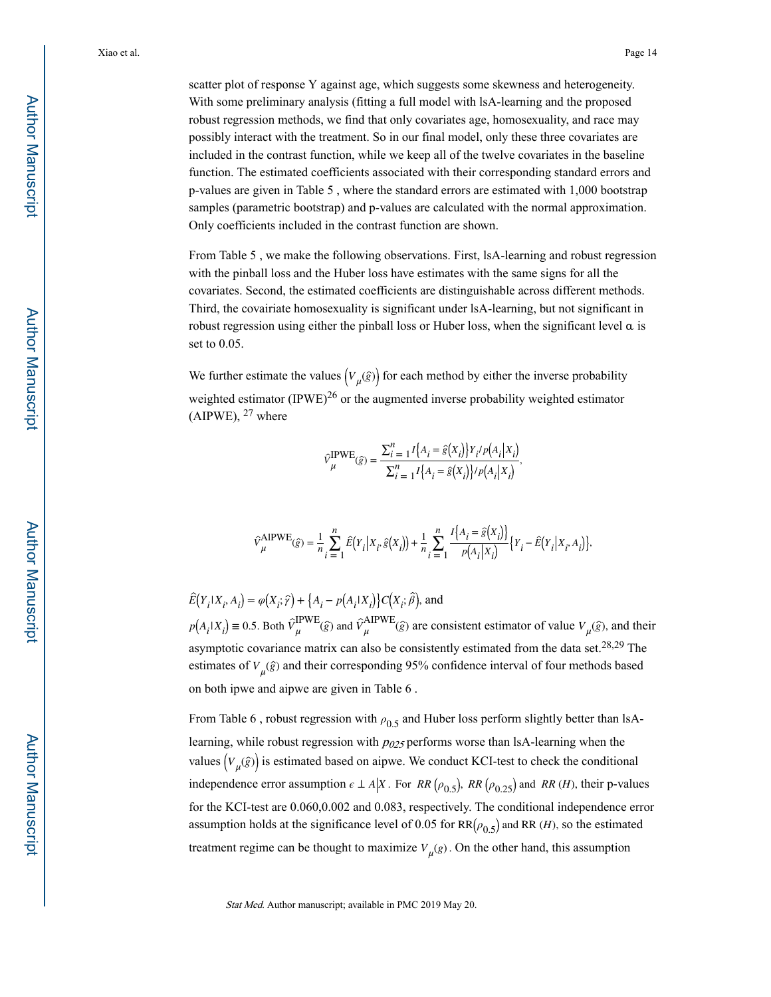scatter plot of response Y against age, which suggests some skewness and heterogeneity. With some preliminary analysis (fitting a full model with lsA-learning and the proposed robust regression methods, we find that only covariates age, homosexuality, and race may possibly interact with the treatment. So in our final model, only these three covariates are included in the contrast function, while we keep all of the twelve covariates in the baseline function. The estimated coefficients associated with their corresponding standard errors and p-values are given in Table 5 , where the standard errors are estimated with 1,000 bootstrap samples (parametric bootstrap) and p-values are calculated with the normal approximation. Only coefficients included in the contrast function are shown.

From Table 5 , we make the following observations. First, lsA-learning and robust regression with the pinball loss and the Huber loss have estimates with the same signs for all the covariates. Second, the estimated coefficients are distinguishable across different methods. Third, the covairiate homosexuality is significant under lsA-learning, but not significant in robust regression using either the pinball loss or Huber loss, when the significant level α is set to 0.05.

We further estimate the values  $(V_\mu(\hat{g}))$  for each method by either the inverse probability weighted estimator (IPWE)<sup>26</sup> or the augmented inverse probability weighted estimator (AIPWE),  $27$  where

$$
\hat{v}_{\mu}^{\text{IPWE}}(\hat{g}) = \frac{\sum_{i=1}^{n} I\left\{A_i = \hat{g}(X_i)\right\} Y_i / p\left(A_i | X_i\right)}{\sum_{i=1}^{n} I\left\{A_i = \hat{g}(X_i)\right\} / p\left(A_i | X_i\right)},
$$

$$
\hat{V}_{\mu}^{\text{AIPWE}}(\hat{g}) = \frac{1}{n} \sum_{i=1}^{n} \hat{E}(Y_i | X_i, \hat{g}(X_i)) + \frac{1}{n} \sum_{i=1}^{n} \frac{I(A_i = \hat{g}(X_i))}{p(A_i | X_i)} \{Y_i - \hat{E}(Y_i | X_i, A_i)\},
$$

 $E(Y_i | X_i, A_i) = \varphi(X_i; \hat{\gamma}) + \{A_i - p(A_i | X_i)\} C(X_i; \hat{\beta})$ , and

 $p(A_i|X_i) \equiv 0.5$ . Both  $\hat{V}^{\text{IPWE}}_{\mu}(\hat{g})$  and  $\hat{V}^{\text{APWE}}_{\mu}(\hat{g})$  are consistent estimator of value  $V_{\mu}(\hat{g})$ , and their asymptotic covariance matrix can also be consistently estimated from the data set.28,29 The estimates of  $V_\mu(\hat{g})$  and their corresponding 95% confidence interval of four methods based on both ipwe and aipwe are given in Table 6 .

From Table 6 , robust regression with *ρ* 0.5 and Huber loss perform slightly better than lsAlearning, while robust regression with  $p_{025}$  performs worse than lsA-learning when the values  $(V_\mu(\hat{g}))$  is estimated based on aipwe. We conduct KCI-test to check the conditional independence error assumption  $\epsilon \perp A|X$ . For *RR*  $(\rho_{0.5})$ , *RR*  $(\rho_{0.25})$  and *RR* (*H*), their p-values for the KCI-test are 0.060,0.002 and 0.083, respectively. The conditional independence error assumption holds at for the KCI-test are 0.060,0.002 and 0.083, respectively. The conditional independence error assumption holds at the significance level of 0.05 for  $RR(\rho_{0.5})$  and RR *(H)*, so the estimated treatment regime can be thought to maximize  $V_\mu(g)$ . On the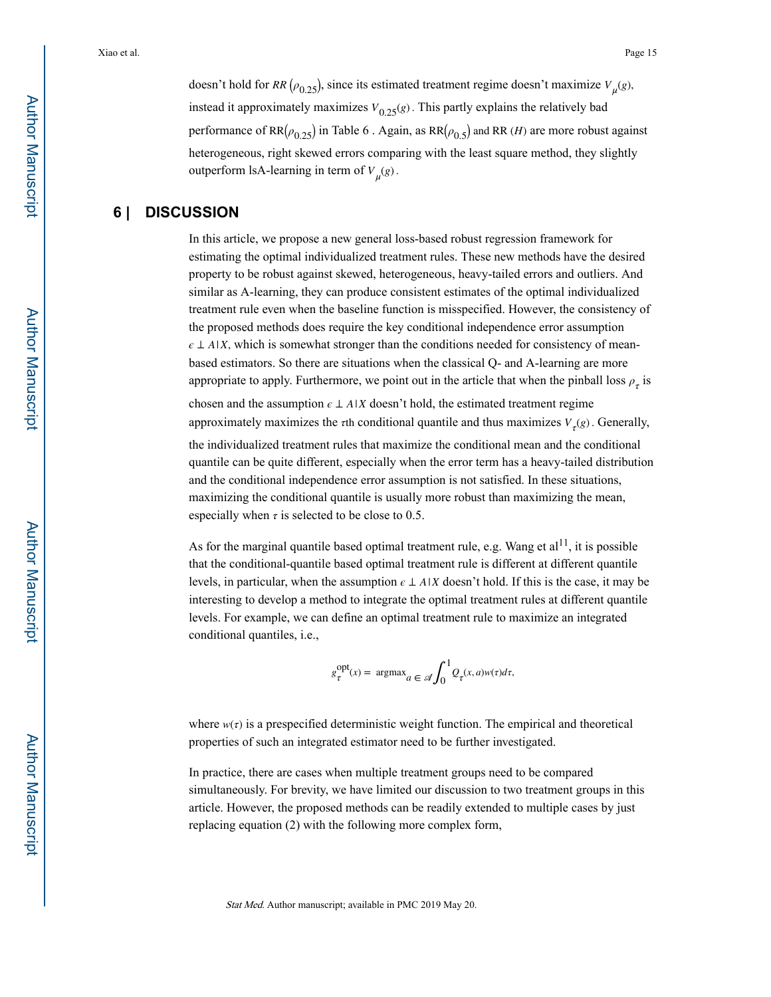doesn't hold for *RR*  $(\rho_{0.25})$ , since its estimated treatment regime doesn't maximize  $V_\mu(g)$ , instead it approximately maximizes  $V_{0.25}(g)$ . This partly explains the relatively bad<br>performance of RR( $\rho_{0.25}$ ) in Table 6. Again, as RR( $\rho_{0.5}$ ) and RR (*H*) are more robust<br>heterogeneous, right skewed errors com performance of RR( $\rho_{0.25}$ ) in Table 6. Again, as RR( $\rho_{0.5}$ ) and RR (*H*) are more robust against heterogeneous, right skewed errors comparing with the least square method, they slightly outperform lsA-learning in term of  $V_\mu(g)$ .

# **6 | DISCUSSION**

In this article, we propose a new general loss-based robust regression framework for estimating the optimal individualized treatment rules. These new methods have the desired property to be robust against skewed, heterogeneous, heavy-tailed errors and outliers. And similar as A-learning, they can produce consistent estimates of the optimal individualized treatment rule even when the baseline function is misspecified. However, the consistency of the proposed methods does require the key conditional independence error assumption *ϵ* ⊥ *A*|*X*, which is somewhat stronger than the conditions needed for consistency of meanbased estimators. So there are situations when the classical Q- and A-learning are more appropriate to apply. Furthermore, we point out in the article that when the pinball loss  $\rho_{\tau}$  is *τ* chosen and the assumption  $\epsilon \perp A|X$  doesn't hold, the estimated treatment regime approximately maximizes the *τ*<sup>th</sup> conditional quantile and thus maximizes  $V_\tau(g)$ . Get g are more<br>
inball loss  $\rho_{\tau}$  is<br>
ime<br>
(g). Generally,<br>
e conditional<br>
led distribution the individualized treatment rules that maximize the conditional mean and the conditional quantile can be quite different, especially when the error term has a heavy-tailed distribution and the conditional independence error assumption is not satisfied. In these situations, maximizing the conditional quantile is usually more robust than maximizing the mean, especially when  $\tau$  is selected to be close to 0.5.

As for the marginal quantile based optimal treatment rule, e.g. Wang et  $al<sup>11</sup>$ , it is possible that the conditional-quantile based optimal treatment rule is different at different quantile levels, in particular, when the assumption  $\epsilon \perp A/X$  doesn't hold. If this is the case, it may be interesting to develop a method to integrate the optimal treatment rules at different quantile levels. For example, we can define an optimal treatment rule to maximize an integrated conditional quantiles, i.e.,

$$
g_{\tau}^{\text{opt}}(x) = \operatorname{argmax}_{a \in \mathcal{A}} \int_{0}^{1} Q_{\tau}(x, a) w(\tau) d\tau,
$$

where  $w(\tau)$  is a prespecified deterministic weight function. The empirical and theoretical properties of such an integrated estimator need to be further investigated.

In practice, there are cases when multiple treatment groups need to be compared simultaneously. For brevity, we have limited our discussion to two treatment groups in this article. However, the proposed methods can be readily extended to multiple cases by just replacing equation (2) with the following more complex form,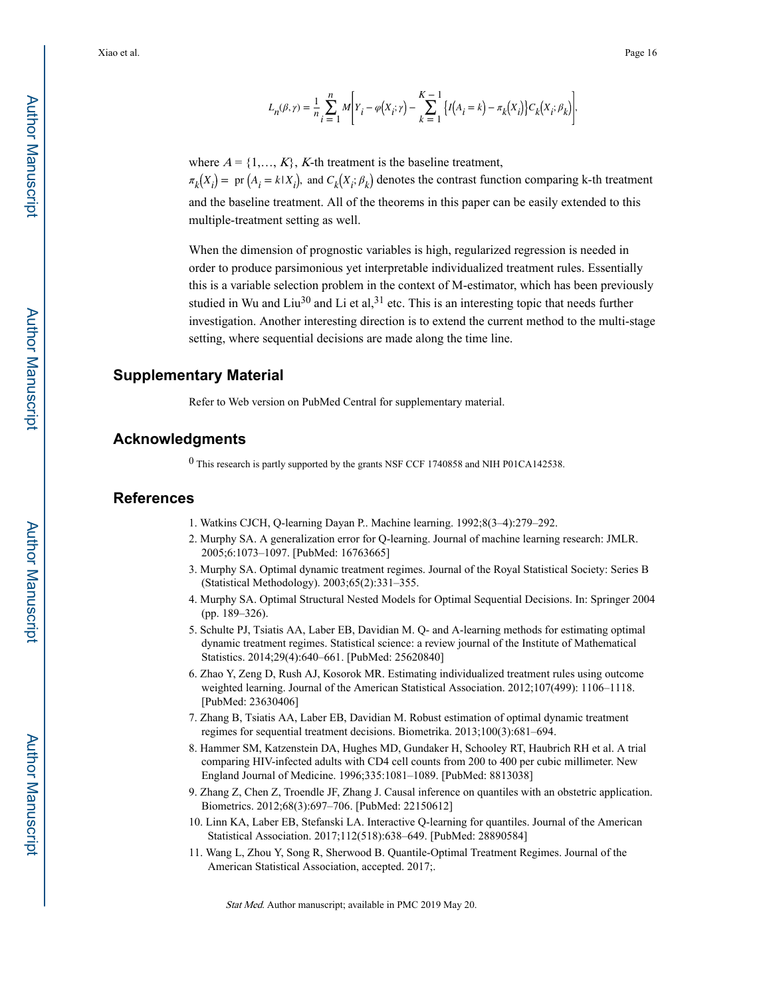$$
L_n(\beta,\gamma)=\frac{1}{n}\sum_{i\text{ }=1}^{n}M\Bigg[Y_i-\varphi\big(X_i;\gamma\big)-\sum_{k\text{ }=1}^{K-1}\Big\{I\big(A_i=k\big)-\pi_{k}\big(X_i\big)\Big\}C_{k}\big(X_i;\beta_{k}\big)\Bigg],
$$

where  $A = \{1, \ldots, K\}$ , K-th treatment is the baseline treatment,

 $\pi_k(X_i) = \text{pr}(A_i = k | X_i)$ , and  $C_k(X_i; \beta_k)$  denotes the contrast function comparing k-th treatment and the baseline treatment. All of the theorems in this paper can be easily extended to this multiple-treatment setting as well.

When the dimension of prognostic variables is high, regularized regression is needed in order to produce parsimonious yet interpretable individualized treatment rules. Essentially this is a variable selection problem in the context of M-estimator, which has been previously studied in Wu and  $\text{Liu}^{30}$  and  $\text{Li}$  et al,  $^{31}$  etc. This is an interesting topic that needs further investigation. Another interesting direction is to extend the current method to the multi-stage setting, where sequential decisions are made along the time line.

## **Supplementary Material**

Refer to Web version on PubMed Central for supplementary material.

#### **Acknowledgments**

0 This research is partly supported by the grants NSF CCF 1740858 and NIH P01CA142538.

#### **References**

- 1. Watkins CJCH, Q-learning Dayan P.. Machine learning. 1992;8(3–4):279–292.
- 2. Murphy SA. A generalization error for Q-learning. Journal of machine learning research: JMLR. 2005;6:1073–1097. [PubMed: 16763665]
- 3. Murphy SA. Optimal dynamic treatment regimes. Journal of the Royal Statistical Society: Series B (Statistical Methodology). 2003;65(2):331–355.
- 4. Murphy SA. Optimal Structural Nested Models for Optimal Sequential Decisions. In: Springer 2004 (pp. 189–326).
- 5. Schulte PJ, Tsiatis AA, Laber EB, Davidian M. Q- and A-learning methods for estimating optimal dynamic treatment regimes. Statistical science: a review journal of the Institute of Mathematical Statistics. 2014;29(4):640–661. [PubMed: 25620840]
- 6. Zhao Y, Zeng D, Rush AJ, Kosorok MR. Estimating individualized treatment rules using outcome weighted learning. Journal of the American Statistical Association. 2012;107(499): 1106–1118. [PubMed: 23630406]
- 7. Zhang B, Tsiatis AA, Laber EB, Davidian M. Robust estimation of optimal dynamic treatment regimes for sequential treatment decisions. Biometrika. 2013;100(3):681–694.
- 8. Hammer SM, Katzenstein DA, Hughes MD, Gundaker H, Schooley RT, Haubrich RH et al. A trial comparing HIV-infected adults with CD4 cell counts from 200 to 400 per cubic millimeter. New England Journal of Medicine. 1996;335:1081–1089. [PubMed: 8813038]
- 9. Zhang Z, Chen Z, Troendle JF, Zhang J. Causal inference on quantiles with an obstetric application. Biometrics. 2012;68(3):697–706. [PubMed: 22150612]
- 10. Linn KA, Laber EB, Stefanski LA. Interactive Q-learning for quantiles. Journal of the American Statistical Association. 2017;112(518):638–649. [PubMed: 28890584]
- 11. Wang L, Zhou Y, Song R, Sherwood B. Quantile-Optimal Treatment Regimes. Journal of the American Statistical Association, accepted. 2017;.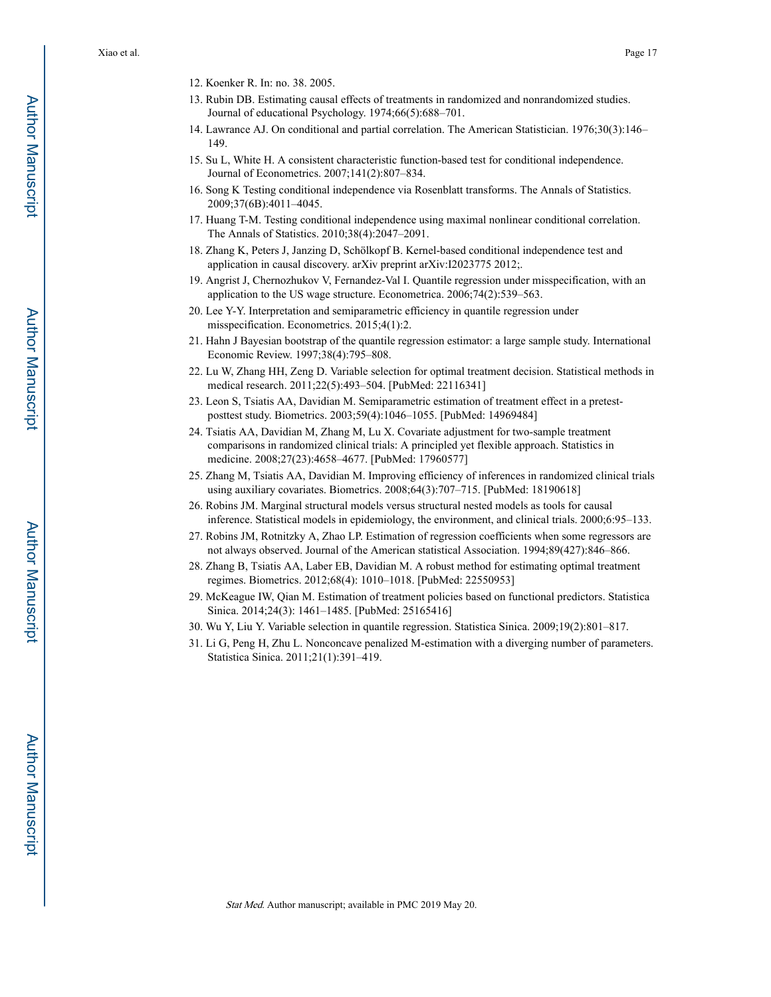- 12. Koenker R. In: no. 38. 2005.
- 13. Rubin DB. Estimating causal effects of treatments in randomized and nonrandomized studies. Journal of educational Psychology. 1974;66(5):688–701.
- 14. Lawrance AJ. On conditional and partial correlation. The American Statistician. 1976;30(3):146– 149.
- 15. Su L, White H. A consistent characteristic function-based test for conditional independence. Journal of Econometrics. 2007;141(2):807–834.
- 16. Song K Testing conditional independence via Rosenblatt transforms. The Annals of Statistics. 2009;37(6B):4011–4045.
- 17. Huang T-M. Testing conditional independence using maximal nonlinear conditional correlation. The Annals of Statistics. 2010;38(4):2047–2091.
- 18. Zhang K, Peters J, Janzing D, Schölkopf B. Kernel-based conditional independence test and application in causal discovery. arXiv preprint arXiv:I2023775 2012;.
- 19. Angrist J, Chernozhukov V, Fernandez-Val I. Quantile regression under misspecification, with an application to the US wage structure. Econometrica. 2006;74(2):539–563.
- 20. Lee Y-Y. Interpretation and semiparametric efficiency in quantile regression under misspecification. Econometrics. 2015;4(1):2.
- 21. Hahn J Bayesian bootstrap of the quantile regression estimator: a large sample study. International Economic Review. 1997;38(4):795–808.
- 22. Lu W, Zhang HH, Zeng D. Variable selection for optimal treatment decision. Statistical methods in medical research. 2011;22(5):493–504. [PubMed: 22116341]
- 23. Leon S, Tsiatis AA, Davidian M. Semiparametric estimation of treatment effect in a pretestposttest study. Biometrics. 2003;59(4):1046–1055. [PubMed: 14969484]
- 24. Tsiatis AA, Davidian M, Zhang M, Lu X. Covariate adjustment for two-sample treatment comparisons in randomized clinical trials: A principled yet flexible approach. Statistics in medicine. 2008;27(23):4658–4677. [PubMed: 17960577]
- 25. Zhang M, Tsiatis AA, Davidian M. Improving efficiency of inferences in randomized clinical trials using auxiliary covariates. Biometrics. 2008;64(3):707–715. [PubMed: 18190618]
- 26. Robins JM. Marginal structural models versus structural nested models as tools for causal inference. Statistical models in epidemiology, the environment, and clinical trials. 2000;6:95–133.
- 27. Robins JM, Rotnitzky A, Zhao LP. Estimation of regression coefficients when some regressors are not always observed. Journal of the American statistical Association. 1994;89(427):846–866.
- 28. Zhang B, Tsiatis AA, Laber EB, Davidian M. A robust method for estimating optimal treatment regimes. Biometrics. 2012;68(4): 1010–1018. [PubMed: 22550953]
- 29. McKeague IW, Qian M. Estimation of treatment policies based on functional predictors. Statistica Sinica. 2014;24(3): 1461–1485. [PubMed: 25165416]
- 30. Wu Y, Liu Y. Variable selection in quantile regression. Statistica Sinica. 2009;19(2):801–817.
- 31. Li G, Peng H, Zhu L. Nonconcave penalized M-estimation with a diverging number of parameters. Statistica Sinica. 2011;21(1):391–419.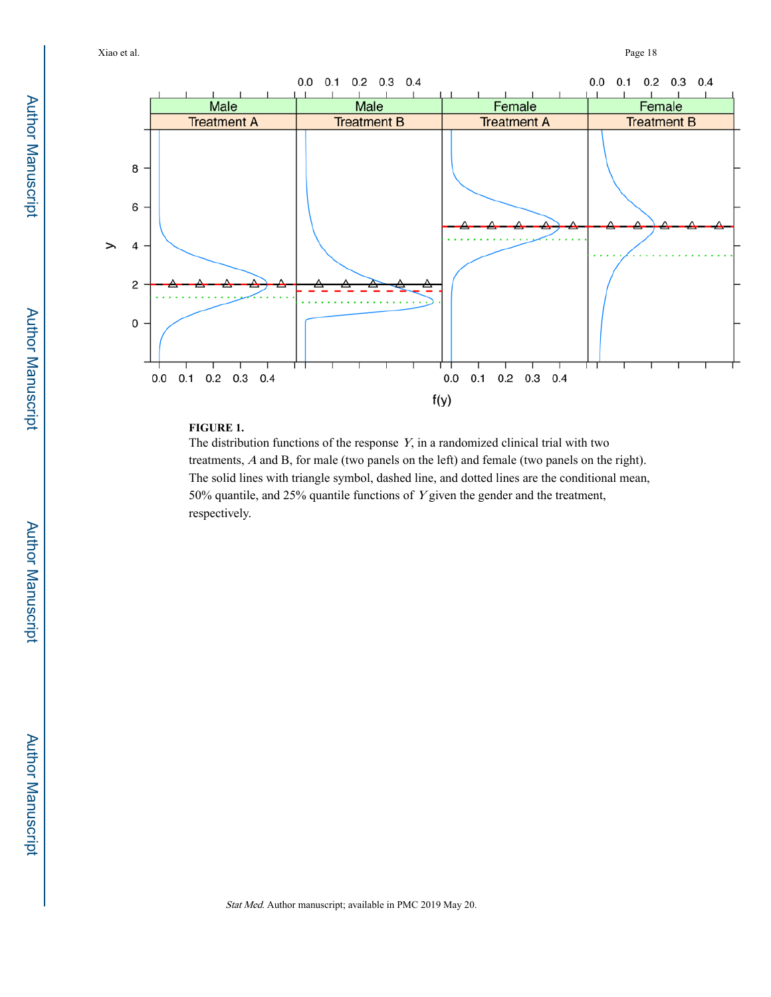Xiao et al. Page 18



### **FIGURE 1.**

The distribution functions of the response  $Y$ , in a randomized clinical trial with two treatments, A and B, for male (two panels on the left) and female (two panels on the right). The solid lines with triangle symbol, dashed line, and dotted lines are the conditional mean, 50% quantile, and 25% quantile functions of Y given the gender and the treatment, respectively.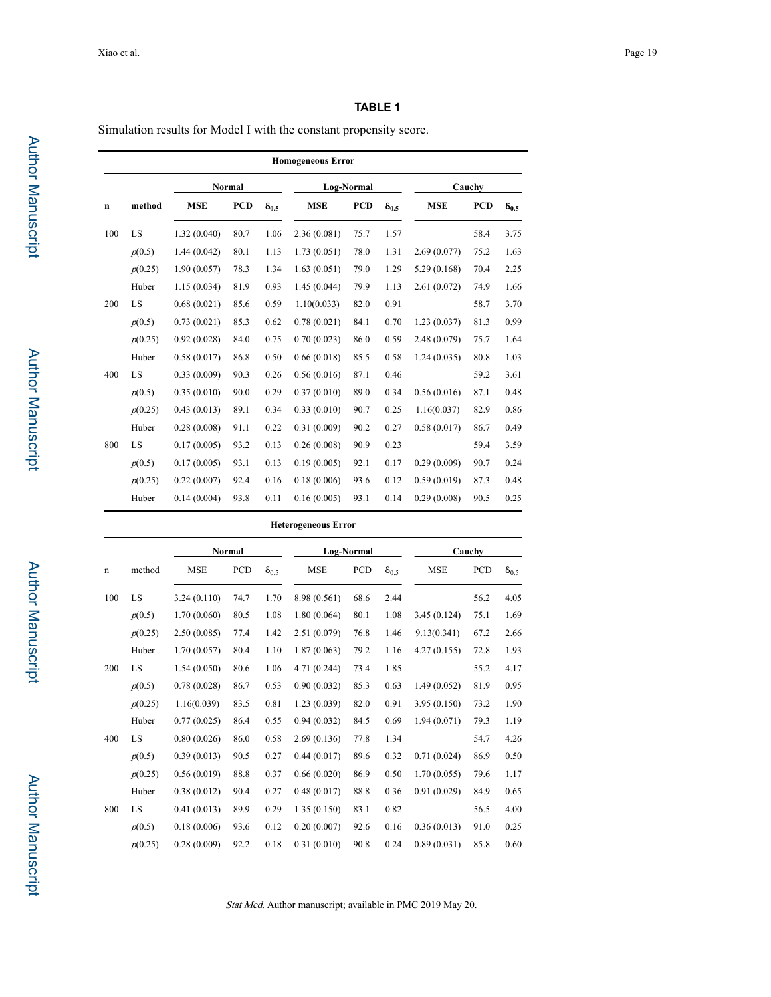#### **TABLE 1**

Simulation results for Model I with the constant propensity score.

|             |         |             |            |                | <b>Homogeneous Error</b> |            |                |             |            |                |  |
|-------------|---------|-------------|------------|----------------|--------------------------|------------|----------------|-------------|------------|----------------|--|
|             |         |             | Normal     |                |                          | Log-Normal |                |             | Cauchy     |                |  |
| $\mathbf n$ | method  | <b>MSE</b>  | <b>PCD</b> | $\delta_{0.5}$ | <b>MSE</b>               | <b>PCD</b> | $\delta_{0.5}$ | <b>MSE</b>  | <b>PCD</b> | $\delta_{0.5}$ |  |
| 100         | LS      | 1.32(0.040) | 80.7       | 1.06           | 2.36(0.081)              | 75.7       | 1.57           |             | 58.4       | 3.75           |  |
|             | p(0.5)  | 1.44(0.042) | 80.1       | 1.13           | 1.73(0.051)              | 78.0       | 1.31           | 2.69(0.077) | 75.2       | 1.63           |  |
|             | p(0.25) | 1.90(0.057) | 78.3       | 1.34           | 1.63(0.051)              | 79.0       | 1.29           | 5.29(0.168) | 70.4       | 2.25           |  |
|             | Huber   | 1.15(0.034) | 81.9       | 0.93           | 1.45(0.044)              | 79.9       | 1.13           | 2.61(0.072) | 74.9       | 1.66           |  |
| 200         | LS      | 0.68(0.021) | 85.6       | 0.59           | 1.10(0.033)              | 82.0       | 0.91           |             | 58.7       | 3.70           |  |
|             | p(0.5)  | 0.73(0.021) | 85.3       | 0.62           | 0.78(0.021)              | 84.1       | 0.70           | 1.23(0.037) | 81.3       | 0.99           |  |
|             | p(0.25) | 0.92(0.028) | 84.0       | 0.75           | 0.70(0.023)              | 86.0       | 0.59           | 2.48(0.079) | 75.7       | 1.64           |  |
|             | Huber   | 0.58(0.017) | 86.8       | 0.50           | 0.66(0.018)              | 85.5       | 0.58           | 1.24(0.035) | 80.8       | 1.03           |  |
| 400         | LS      | 0.33(0.009) | 90.3       | 0.26           | 0.56(0.016)              | 87.1       | 0.46           |             | 59.2       | 3.61           |  |
|             | p(0.5)  | 0.35(0.010) | 90.0       | 0.29           | 0.37(0.010)              | 89.0       | 0.34           | 0.56(0.016) | 87.1       | 0.48           |  |
|             | p(0.25) | 0.43(0.013) | 89.1       | 0.34           | 0.33(0.010)              | 90.7       | 0.25           | 1.16(0.037) | 82.9       | 0.86           |  |
|             | Huber   | 0.28(0.008) | 91.1       | 0.22           | 0.31(0.009)              | 90.2       | 0.27           | 0.58(0.017) | 86.7       | 0.49           |  |
| 800         | LS      | 0.17(0.005) | 93.2       | 0.13           | 0.26(0.008)              | 90.9       | 0.23           |             | 59.4       | 3.59           |  |
|             | p(0.5)  | 0.17(0.005) | 93.1       | 0.13           | 0.19(0.005)              | 92.1       | 0.17           | 0.29(0.009) | 90.7       | 0.24           |  |
|             | p(0.25) | 0.22(0.007) | 92.4       | 0.16           | 0.18(0.006)              | 93.6       | 0.12           | 0.59(0.019) | 87.3       | 0.48           |  |
|             | Huber   | 0.14(0.004) | 93.8       | 0.11           | 0.16(0.005)              | 93.1       | 0.14           | 0.29(0.008) | 90.5       | 0.25           |  |

| method  | <b>MSE</b>  | PCD  | $\delta_{0.5}$ | <b>MSE</b>   | PCD  | $\delta_{0.5}$ | <b>MSE</b>  | PCD  | $\delta_{0.5}$ |
|---------|-------------|------|----------------|--------------|------|----------------|-------------|------|----------------|
| LS      | 3.24(0.110) | 74.7 | 1.70           | 8.98 (0.561) | 68.6 | 2.44           |             | 56.2 | 4.05           |
| p(0.5)  | 1.70(0.060) | 80.5 | 1.08           | 1.80(0.064)  | 80.1 | 1.08           | 3.45(0.124) | 75.1 | 1.69           |
| p(0.25) | 2.50(0.085) | 77.4 | 1.42           | 2.51(0.079)  | 76.8 | 1.46           | 9.13(0.341) | 67.2 | 2.66           |
| Huber   | 1.70(0.057) | 80.4 | 1.10           | 1.87(0.063)  | 79.2 | 1.16           | 4.27(0.155) | 72.8 | 1.93           |
| LS      | 1.54(0.050) | 80.6 | 1.06           | 4.71(0.244)  | 73.4 | 1.85           |             | 55.2 | 4.17           |
| p(0.5)  | 0.78(0.028) | 86.7 | 0.53           | 0.90(0.032)  | 85.3 | 0.63           | 1.49(0.052) | 81.9 | 0.95           |
| p(0.25) | 1.16(0.039) | 83.5 | 0.81           | 1.23(0.039)  | 82.0 | 0.91           | 3.95(0.150) | 73.2 | 1.90           |
| Huber   | 0.77(0.025) | 86.4 | 0.55           | 0.94(0.032)  | 84.5 | 0.69           | 1.94(0.071) | 79.3 | 1.19           |
| LS      | 0.80(0.026) | 86.0 | 0.58           | 2.69(0.136)  | 77.8 | 1.34           |             | 54.7 | 4.26           |
| p(0.5)  | 0.39(0.013) | 90.5 | 0.27           | 0.44(0.017)  | 89.6 | 0.32           | 0.71(0.024) | 86.9 | 0.50           |
| p(0.25) | 0.56(0.019) | 88.8 | 0.37           | 0.66(0.020)  | 86.9 | 0.50           | 1.70(0.055) | 79.6 | 1.17           |
| Huber   | 0.38(0.012) | 90.4 | 0.27           | 0.48(0.017)  | 88.8 | 0.36           | 0.91(0.029) | 84.9 | 0.65           |
| LS      | 0.41(0.013) | 89.9 | 0.29           | 1.35(0.150)  | 83.1 | 0.82           |             | 56.5 | 4.00           |
| p(0.5)  | 0.18(0.006) | 93.6 | 0.12           | 0.20(0.007)  | 92.6 | 0.16           | 0.36(0.013) | 91.0 | 0.25           |
| p(0.25) | 0.28(0.009) | 92.2 | 0.18           | 0.31(0.010)  | 90.8 | 0.24           | 0.89(0.031) | 85.8 | 0.60           |
|         |             |      | <b>Normal</b>  |              |      | Log-Normal     |             |      | Cauchy         |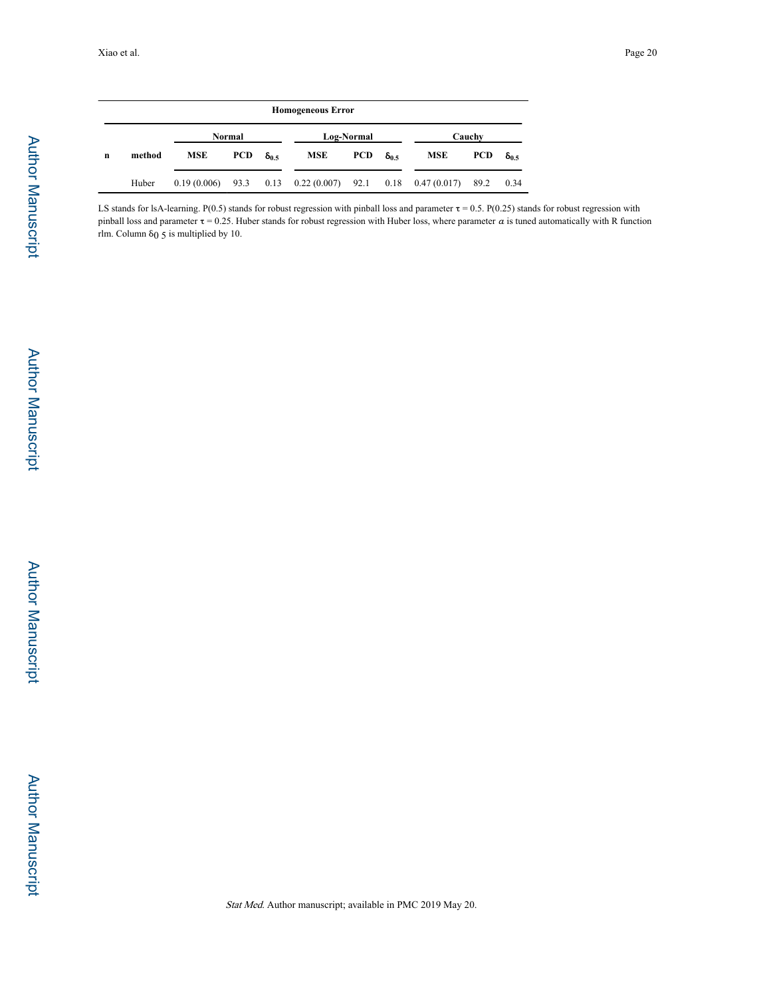|   |        |     |        |            | <b>Homogeneous Error</b>                                         |            |               |     |            |            |  |
|---|--------|-----|--------|------------|------------------------------------------------------------------|------------|---------------|-----|------------|------------|--|
|   |        |     | Normal |            |                                                                  | Log-Normal |               |     | Cauchy     |            |  |
| n | method | MSE | PCD    | $\delta_0$ | MSE                                                              | PCD        | $-\delta_0$ s | MSE | <b>PCD</b> | $\delta_0$ |  |
|   | Huber  |     |        |            | $0.19(0.006)$ 93.3 0.13 0.22 (0.007) 92.1 0.18 0.47 (0.017) 89.2 |            |               |     |            | 0.34       |  |

LS stands for lsA-learning. P(0.5) stands for robust regression with pinball loss and parameter  $\tau$  = 0.5. P(0.25) stands for robust regression with pinball loss and parameter  $\tau$  = 0.25. Huber stands for robust regression with Huber loss, where parameter  $a$  is tuned automatically with R function rlm. Column δ $0$  5 is multiplied by 10.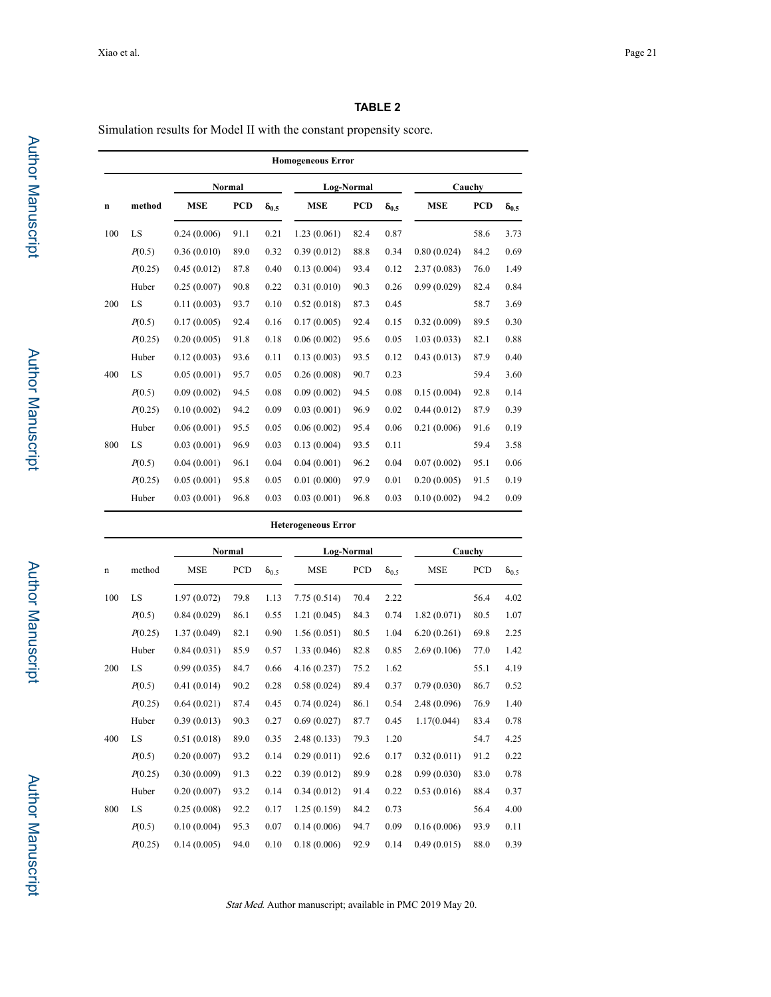#### **TABLE 2**

Simulation results for Model II with the constant propensity score.

|         |         |             |            |                | <b>Homogeneous Error</b> |            |                |             |            |                |  |
|---------|---------|-------------|------------|----------------|--------------------------|------------|----------------|-------------|------------|----------------|--|
|         |         |             | Normal     |                |                          | Log-Normal |                |             | Cauchy     |                |  |
| $\bf n$ | method  | <b>MSE</b>  | <b>PCD</b> | $\delta_{0.5}$ | <b>MSE</b>               | <b>PCD</b> | $\delta_{0.5}$ | <b>MSE</b>  | <b>PCD</b> | $\delta_{0.5}$ |  |
| 100     | LS      | 0.24(0.006) | 91.1       | 0.21           | 1.23(0.061)              | 82.4       | 0.87           |             | 58.6       | 3.73           |  |
|         | P(0.5)  | 0.36(0.010) | 89.0       | 0.32           | 0.39(0.012)              | 88.8       | 0.34           | 0.80(0.024) | 84.2       | 0.69           |  |
|         | P(0.25) | 0.45(0.012) | 87.8       | 0.40           | 0.13(0.004)              | 93.4       | 0.12           | 2.37(0.083) | 76.0       | 1.49           |  |
|         | Huber   | 0.25(0.007) | 90.8       | 0.22           | 0.31(0.010)              | 90.3       | 0.26           | 0.99(0.029) | 82.4       | 0.84           |  |
| 200     | LS      | 0.11(0.003) | 93.7       | 0.10           | 0.52(0.018)              | 87.3       | 0.45           |             | 58.7       | 3.69           |  |
|         | P(0.5)  | 0.17(0.005) | 92.4       | 0.16           | 0.17(0.005)              | 92.4       | 0.15           | 0.32(0.009) | 89.5       | 0.30           |  |
|         | P(0.25) | 0.20(0.005) | 91.8       | 0.18           | 0.06(0.002)              | 95.6       | 0.05           | 1.03(0.033) | 82.1       | 0.88           |  |
|         | Huber   | 0.12(0.003) | 93.6       | 0.11           | 0.13(0.003)              | 93.5       | 0.12           | 0.43(0.013) | 87.9       | 0.40           |  |
| 400     | LS      | 0.05(0.001) | 95.7       | 0.05           | 0.26(0.008)              | 90.7       | 0.23           |             | 59.4       | 3.60           |  |
|         | P(0.5)  | 0.09(0.002) | 94.5       | 0.08           | 0.09(0.002)              | 94.5       | 0.08           | 0.15(0.004) | 92.8       | 0.14           |  |
|         | P(0.25) | 0.10(0.002) | 94.2       | 0.09           | 0.03(0.001)              | 96.9       | 0.02           | 0.44(0.012) | 87.9       | 0.39           |  |
|         | Huber   | 0.06(0.001) | 95.5       | 0.05           | 0.06(0.002)              | 95.4       | 0.06           | 0.21(0.006) | 91.6       | 0.19           |  |
| 800     | LS      | 0.03(0.001) | 96.9       | 0.03           | 0.13(0.004)              | 93.5       | 0.11           |             | 59.4       | 3.58           |  |
|         | P(0.5)  | 0.04(0.001) | 96.1       | 0.04           | 0.04(0.001)              | 96.2       | 0.04           | 0.07(0.002) | 95.1       | 0.06           |  |
|         | P(0.25) | 0.05(0.001) | 95.8       | 0.05           | 0.01(0.000)              | 97.9       | 0.01           | 0.20(0.005) | 91.5       | 0.19           |  |
|         | Huber   | 0.03(0.001) | 96.8       | 0.03           | 0.03(0.001)              | 96.8       | 0.03           | 0.10(0.002) | 94.2       | 0.09           |  |

| <b>Heterogeneous Error</b> |  |
|----------------------------|--|
|----------------------------|--|

|             |         |             | Normal |                |             | Log-Normal |                |             | Cauchy |                |
|-------------|---------|-------------|--------|----------------|-------------|------------|----------------|-------------|--------|----------------|
| $\mathbf n$ | method  | <b>MSE</b>  | PCD    | $\delta_{0.5}$ | <b>MSE</b>  | PCD        | $\delta_{0.5}$ | <b>MSE</b>  | PCD    | $\delta_{0.5}$ |
| 100         | LS      | 1.97(0.072) | 79.8   | 1.13           | 7.75(0.514) | 70.4       | 2.22           |             | 56.4   | 4.02           |
|             | P(0.5)  | 0.84(0.029) | 86.1   | 0.55           | 1.21(0.045) | 84.3       | 0.74           | 1.82(0.071) | 80.5   | 1.07           |
|             | P(0.25) | 1.37(0.049) | 82.1   | 0.90           | 1.56(0.051) | 80.5       | 1.04           | 6.20(0.261) | 69.8   | 2.25           |
|             | Huber   | 0.84(0.031) | 85.9   | 0.57           | 1.33(0.046) | 82.8       | 0.85           | 2.69(0.106) | 77.0   | 1.42           |
| 200         | LS      | 0.99(0.035) | 84.7   | 0.66           | 4.16(0.237) | 75.2       | 1.62           |             | 55.1   | 4.19           |
|             | P(0.5)  | 0.41(0.014) | 90.2   | 0.28           | 0.58(0.024) | 89.4       | 0.37           | 0.79(0.030) | 86.7   | 0.52           |
|             | P(0.25) | 0.64(0.021) | 87.4   | 0.45           | 0.74(0.024) | 86.1       | 0.54           | 2.48(0.096) | 76.9   | 1.40           |
|             | Huber   | 0.39(0.013) | 90.3   | 0.27           | 0.69(0.027) | 87.7       | 0.45           | 1.17(0.044) | 83.4   | 0.78           |
| 400         | LS      | 0.51(0.018) | 89.0   | 0.35           | 2.48(0.133) | 79.3       | 1.20           |             | 54.7   | 4.25           |
|             | P(0.5)  | 0.20(0.007) | 93.2   | 0.14           | 0.29(0.011) | 92.6       | 0.17           | 0.32(0.011) | 91.2   | 0.22           |
|             | P(0.25) | 0.30(0.009) | 91.3   | 0.22           | 0.39(0.012) | 89.9       | 0.28           | 0.99(0.030) | 83.0   | 0.78           |
|             | Huber   | 0.20(0.007) | 93.2   | 0.14           | 0.34(0.012) | 91.4       | 0.22           | 0.53(0.016) | 88.4   | 0.37           |
| 800         | LS      | 0.25(0.008) | 92.2   | 0.17           | 1.25(0.159) | 84.2       | 0.73           |             | 56.4   | 4.00           |
|             | P(0.5)  | 0.10(0.004) | 95.3   | 0.07           | 0.14(0.006) | 94.7       | 0.09           | 0.16(0.006) | 93.9   | 0.11           |
|             | P(0.25) | 0.14(0.005) | 94.0   | 0.10           | 0.18(0.006) | 92.9       | 0.14           | 0.49(0.015) | 88.0   | 0.39           |
|             |         |             |        |                |             |            |                |             |        |                |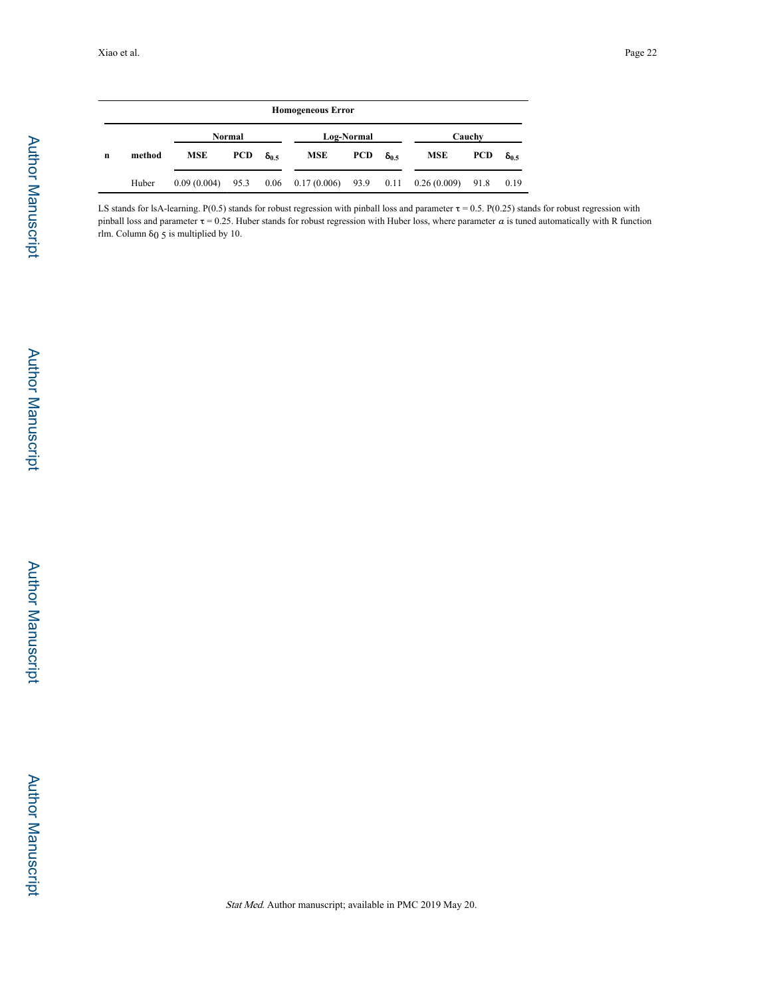|   |        |            |     |            | <b>Homogeneous Error</b>                                    |     |             |            |            |            |
|---|--------|------------|-----|------------|-------------------------------------------------------------|-----|-------------|------------|------------|------------|
|   |        | Normal     |     |            | Log-Normal                                                  |     |             | Cauchy     |            |            |
| n | method | <b>MSE</b> | PCD | $\delta_0$ | MSE                                                         | PCD | $-\delta_0$ | <b>MSE</b> | <b>PCD</b> | $\delta_0$ |
|   | Huber  |            |     |            | $0.09(0.004)$ 95.3 0.06 0.17 (0.006) 93.9 0.11 0.26 (0.009) |     |             |            | 91.8       | 0.19       |

LS stands for lsA-learning. P(0.5) stands for robust regression with pinball loss and parameter  $\tau$  = 0.5. P(0.25) stands for robust regression with pinball loss and parameter  $\tau$  = 0.25. Huber stands for robust regression with Huber loss, where parameter  $a$  is tuned automatically with R function rlm. Column δ $0$  5 is multiplied by 10.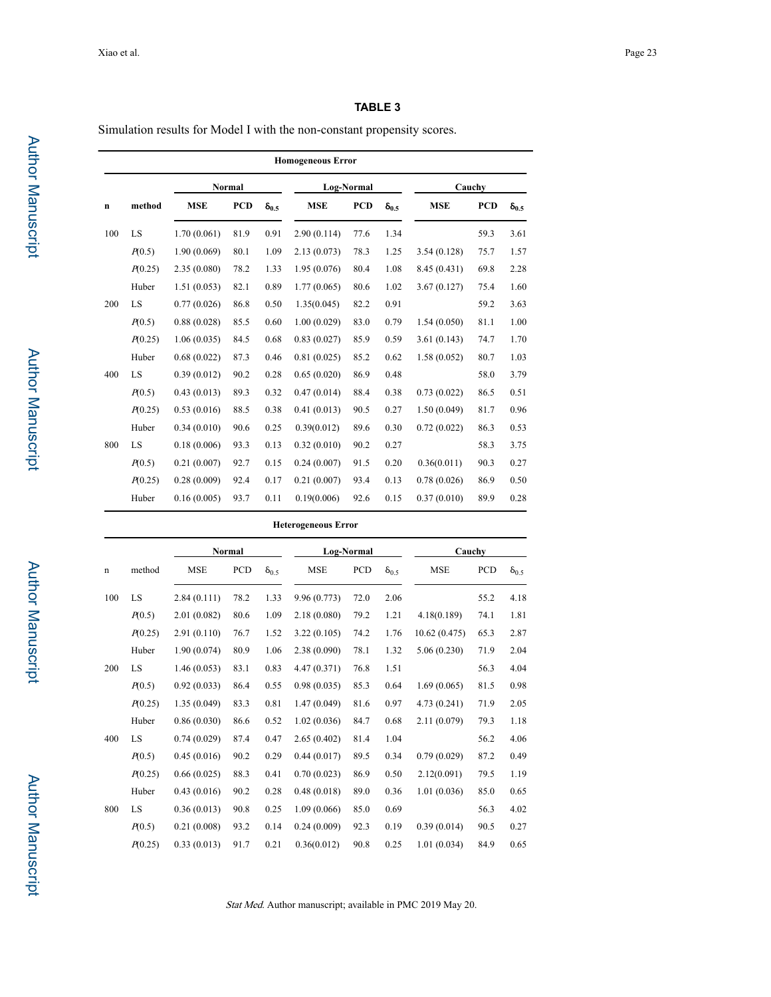#### **TABLE 3**

Simulation results for Model I with the non-constant propensity scores.

|         |             |            |                |             | Log-Normal |                          |             | Cauchy     |                |  |
|---------|-------------|------------|----------------|-------------|------------|--------------------------|-------------|------------|----------------|--|
| method  | <b>MSE</b>  | <b>PCD</b> | $\delta_{0.5}$ | <b>MSE</b>  | <b>PCD</b> | $\delta_{0.5}$           | <b>MSE</b>  | <b>PCD</b> | $\delta_{0.5}$ |  |
| LS      | 1.70(0.061) | 81.9       | 0.91           | 2.90(0.114) | 77.6       | 1.34                     |             | 59.3       | 3.61           |  |
| P(0.5)  | 1.90(0.069) | 80.1       | 1.09           | 2.13(0.073) | 78.3       | 1.25                     | 3.54(0.128) | 75.7       | 1.57           |  |
| P(0.25) | 2.35(0.080) | 78.2       | 1.33           | 1.95(0.076) | 80.4       | 1.08                     | 8.45(0.431) | 69.8       | 2.28           |  |
| Huber   | 1.51(0.053) | 82.1       | 0.89           | 1.77(0.065) | 80.6       | 1.02                     | 3.67(0.127) | 75.4       | 1.60           |  |
| LS      | 0.77(0.026) | 86.8       | 0.50           | 1.35(0.045) | 82.2       | 0.91                     |             | 59.2       | 3.63           |  |
| P(0.5)  | 0.88(0.028) | 85.5       | 0.60           | 1.00(0.029) | 83.0       | 0.79                     | 1.54(0.050) | 81.1       | 1.00           |  |
| P(0.25) | 1.06(0.035) | 84.5       | 0.68           | 0.83(0.027) | 85.9       | 0.59                     | 3.61(0.143) | 74.7       | 1.70           |  |
| Huber   | 0.68(0.022) | 87.3       | 0.46           | 0.81(0.025) | 85.2       | 0.62                     | 1.58(0.052) | 80.7       | 1.03           |  |
| LS      | 0.39(0.012) | 90.2       | 0.28           | 0.65(0.020) | 86.9       | 0.48                     |             | 58.0       | 3.79           |  |
| P(0.5)  | 0.43(0.013) | 89.3       | 0.32           | 0.47(0.014) | 88.4       | 0.38                     | 0.73(0.022) | 86.5       | 0.51           |  |
| P(0.25) | 0.53(0.016) | 88.5       | 0.38           | 0.41(0.013) | 90.5       | 0.27                     | 1.50(0.049) | 81.7       | 0.96           |  |
| Huber   | 0.34(0.010) | 90.6       | 0.25           | 0.39(0.012) | 89.6       | 0.30                     | 0.72(0.022) | 86.3       | 0.53           |  |
| LS      | 0.18(0.006) | 93.3       | 0.13           | 0.32(0.010) | 90.2       | 0.27                     |             | 58.3       | 3.75           |  |
| P(0.5)  | 0.21(0.007) | 92.7       | 0.15           | 0.24(0.007) | 91.5       | 0.20                     | 0.36(0.011) | 90.3       | 0.27           |  |
| P(0.25) | 0.28(0.009) | 92.4       | 0.17           | 0.21(0.007) | 93.4       | 0.13                     | 0.78(0.026) | 86.9       | 0.50           |  |
| Huber   | 0.16(0.005) | 93.7       | 0.11           | 0.19(0.006) | 92.6       | 0.15                     | 0.37(0.010) | 89.9       | 0.28           |  |
|         |             |            | <b>Normal</b>  |             |            | <b>Homogeneous Error</b> |             |            |                |  |

| Heterogeneous Error |  |
|---------------------|--|
|---------------------|--|

|             |         |             | Normal     |                |             | Log-Normal |                | Cauchy       |      |                |
|-------------|---------|-------------|------------|----------------|-------------|------------|----------------|--------------|------|----------------|
| $\mathbf n$ | method  | <b>MSE</b>  | <b>PCD</b> | $\delta_{0.5}$ | <b>MSE</b>  | PCD        | $\delta_{0.5}$ | MSE          | PCD  | $\delta_{0.5}$ |
| 100         | LS      | 2.84(0.111) | 78.2       | 1.33           | 9.96(0.773) | 72.0       | 2.06           |              | 55.2 | 4.18           |
|             | P(0.5)  | 2.01(0.082) | 80.6       | 1.09           | 2.18(0.080) | 79.2       | 1.21           | 4.18(0.189)  | 74.1 | 1.81           |
|             | P(0.25) | 2.91(0.110) | 76.7       | 1.52           | 3.22(0.105) | 74.2       | 1.76           | 10.62(0.475) | 65.3 | 2.87           |
|             | Huber   | 1.90(0.074) | 80.9       | 1.06           | 2.38(0.090) | 78.1       | 1.32           | 5.06(0.230)  | 71.9 | 2.04           |
| 200         | LS      | 1.46(0.053) | 83.1       | 0.83           | 4.47(0.371) | 76.8       | 1.51           |              | 56.3 | 4.04           |
|             | P(0.5)  | 0.92(0.033) | 86.4       | 0.55           | 0.98(0.035) | 85.3       | 0.64           | 1.69(0.065)  | 81.5 | 0.98           |
|             | P(0.25) | 1.35(0.049) | 83.3       | 0.81           | 1.47(0.049) | 81.6       | 0.97           | 4.73(0.241)  | 71.9 | 2.05           |
|             | Huber   | 0.86(0.030) | 86.6       | 0.52           | 1.02(0.036) | 84.7       | 0.68           | 2.11(0.079)  | 79.3 | 1.18           |
| 400         | LS      | 0.74(0.029) | 87.4       | 0.47           | 2.65(0.402) | 81.4       | 1.04           |              | 56.2 | 4.06           |
|             | P(0.5)  | 0.45(0.016) | 90.2       | 0.29           | 0.44(0.017) | 89.5       | 0.34           | 0.79(0.029)  | 87.2 | 0.49           |
|             | P(0.25) | 0.66(0.025) | 88.3       | 0.41           | 0.70(0.023) | 86.9       | 0.50           | 2.12(0.091)  | 79.5 | 1.19           |
|             | Huber   | 0.43(0.016) | 90.2       | 0.28           | 0.48(0.018) | 89.0       | 0.36           | 1.01(0.036)  | 85.0 | 0.65           |
| 800         | LS      | 0.36(0.013) | 90.8       | 0.25           | 1.09(0.066) | 85.0       | 0.69           |              | 56.3 | 4.02           |
|             | P(0.5)  | 0.21(0.008) | 93.2       | 0.14           | 0.24(0.009) | 92.3       | 0.19           | 0.39(0.014)  | 90.5 | 0.27           |
|             | P(0.25) | 0.33(0.013) | 91.7       | 0.21           | 0.36(0.012) | 90.8       | 0.25           | 1.01(0.034)  | 84.9 | 0.65           |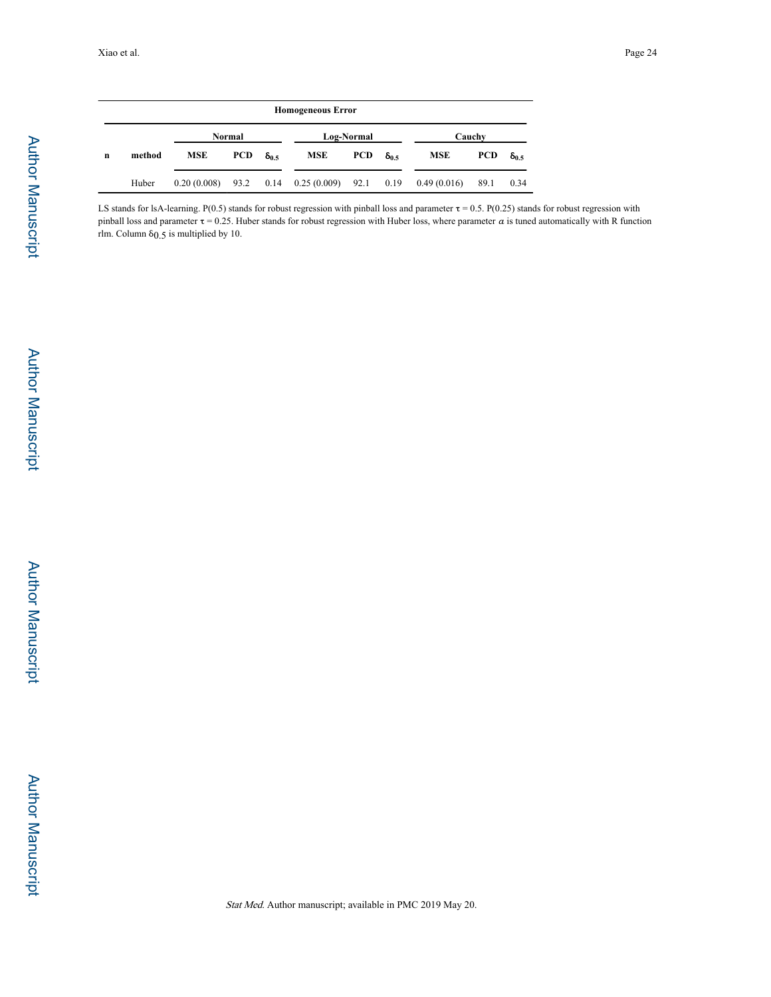|   |        |     |               |              | <b>Homogeneous Error</b>                                    |     |         |        |            |      |
|---|--------|-----|---------------|--------------|-------------------------------------------------------------|-----|---------|--------|------------|------|
|   |        |     | <b>Normal</b> |              | Log-Normal                                                  |     |         | Cauchy |            |      |
| n | method | MSE | PCD           | $\delta_0$ s | MSE                                                         | PCD | .δი - ∈ | MSE    | <b>PCD</b> | δი - |
|   | Huber  |     |               |              | $0.20(0.008)$ 93.2 0.14 0.25 (0.009) 92.1 0.19 0.49 (0.016) |     |         |        | 89.1       | 0.34 |

LS stands for lsA-learning. P(0.5) stands for robust regression with pinball loss and parameter  $\tau$  = 0.5. P(0.25) stands for robust regression with pinball loss and parameter  $\tau$  = 0.25. Huber stands for robust regression with Huber loss, where parameter  $a$  is tuned automatically with R function rlm. Column δ0.5 is multiplied by 10.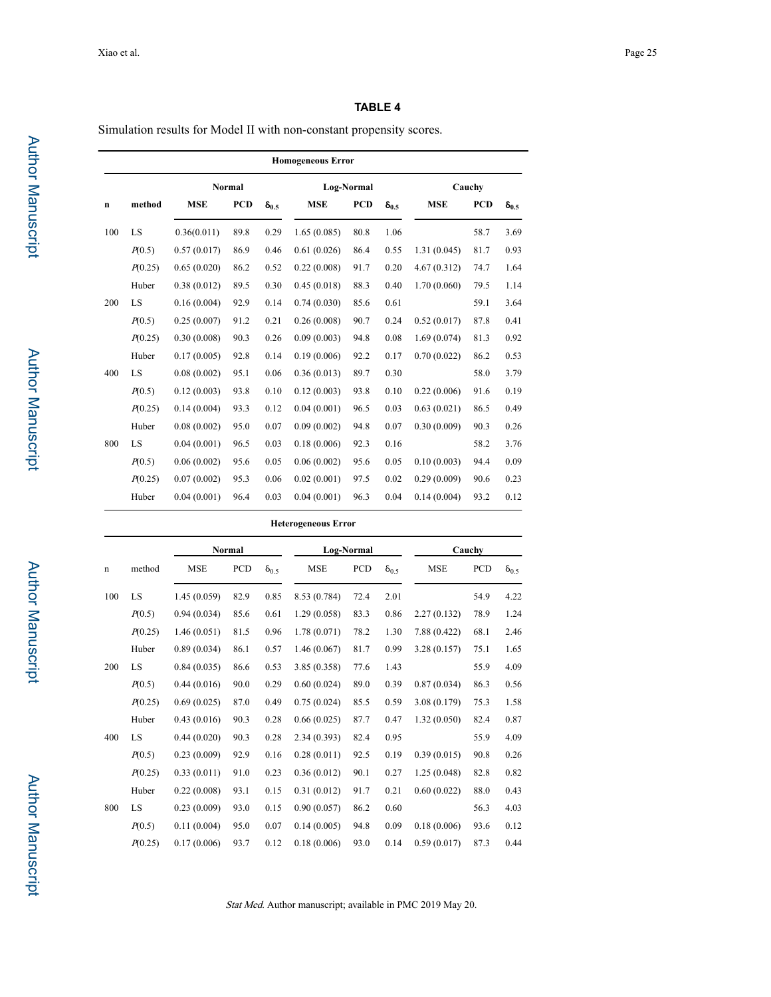#### **TABLE 4**

Simulation results for Model II with non-constant propensity scores.

| <b>Homogeneous Error</b> |         |             |               |                |             |            |                |             |            |                |
|--------------------------|---------|-------------|---------------|----------------|-------------|------------|----------------|-------------|------------|----------------|
|                          |         |             | <b>Normal</b> |                |             | Log-Normal |                | Cauchy      |            |                |
| $\mathbf n$              | method  | <b>MSE</b>  | <b>PCD</b>    | $\delta_{0.5}$ | <b>MSE</b>  | <b>PCD</b> | $\delta_{0.5}$ | <b>MSE</b>  | <b>PCD</b> | $\delta_{0.5}$ |
| 100                      | LS      | 0.36(0.011) | 89.8          | 0.29           | 1.65(0.085) | 80.8       | 1.06           |             | 58.7       | 3.69           |
|                          | P(0.5)  | 0.57(0.017) | 86.9          | 0.46           | 0.61(0.026) | 86.4       | 0.55           | 1.31(0.045) | 81.7       | 0.93           |
|                          | P(0.25) | 0.65(0.020) | 86.2          | 0.52           | 0.22(0.008) | 91.7       | 0.20           | 4.67(0.312) | 74.7       | 1.64           |
|                          | Huber   | 0.38(0.012) | 89.5          | 0.30           | 0.45(0.018) | 88.3       | 0.40           | 1.70(0.060) | 79.5       | 1.14           |
| 200                      | LS      | 0.16(0.004) | 92.9          | 0.14           | 0.74(0.030) | 85.6       | 0.61           |             | 59.1       | 3.64           |
|                          | P(0.5)  | 0.25(0.007) | 91.2          | 0.21           | 0.26(0.008) | 90.7       | 0.24           | 0.52(0.017) | 87.8       | 0.41           |
|                          | P(0.25) | 0.30(0.008) | 90.3          | 0.26           | 0.09(0.003) | 94.8       | 0.08           | 1.69(0.074) | 81.3       | 0.92           |
|                          | Huber   | 0.17(0.005) | 92.8          | 0.14           | 0.19(0.006) | 92.2       | 0.17           | 0.70(0.022) | 86.2       | 0.53           |
| 400                      | LS      | 0.08(0.002) | 95.1          | 0.06           | 0.36(0.013) | 89.7       | 0.30           |             | 58.0       | 3.79           |
|                          | P(0.5)  | 0.12(0.003) | 93.8          | 0.10           | 0.12(0.003) | 93.8       | 0.10           | 0.22(0.006) | 91.6       | 0.19           |
|                          | P(0.25) | 0.14(0.004) | 93.3          | 0.12           | 0.04(0.001) | 96.5       | 0.03           | 0.63(0.021) | 86.5       | 0.49           |
|                          | Huber   | 0.08(0.002) | 95.0          | 0.07           | 0.09(0.002) | 94.8       | 0.07           | 0.30(0.009) | 90.3       | 0.26           |
| 800                      | LS      | 0.04(0.001) | 96.5          | 0.03           | 0.18(0.006) | 92.3       | 0.16           |             | 58.2       | 3.76           |
|                          | P(0.5)  | 0.06(0.002) | 95.6          | 0.05           | 0.06(0.002) | 95.6       | 0.05           | 0.10(0.003) | 94.4       | 0.09           |
|                          | P(0.25) | 0.07(0.002) | 95.3          | 0.06           | 0.02(0.001) | 97.5       | 0.02           | 0.29(0.009) | 90.6       | 0.23           |
|                          | Huber   | 0.04(0.001) | 96.4          | 0.03           | 0.04(0.001) | 96.3       | 0.04           | 0.14(0.004) | 93.2       | 0.12           |

| <b>Heterogeneous Error</b> |  |
|----------------------------|--|
|----------------------------|--|

|             |         |             | Normal |                |              | Log-Normal |                | Cauchy       |      |                |
|-------------|---------|-------------|--------|----------------|--------------|------------|----------------|--------------|------|----------------|
| $\mathbf n$ | method  | <b>MSE</b>  | PCD    | $\delta_{0.5}$ | <b>MSE</b>   | PCD        | $\delta_{0.5}$ | <b>MSE</b>   | PCD  | $\delta_{0.5}$ |
| 100         | LS      | 1.45(0.059) | 82.9   | 0.85           | 8.53 (0.784) | 72.4       | 2.01           |              | 54.9 | 4.22           |
|             | P(0.5)  | 0.94(0.034) | 85.6   | 0.61           | 1.29(0.058)  | 83.3       | 0.86           | 2.27(0.132)  | 78.9 | 1.24           |
|             | P(0.25) | 1.46(0.051) | 81.5   | 0.96           | 1.78(0.071)  | 78.2       | 1.30           | 7.88 (0.422) | 68.1 | 2.46           |
|             | Huber   | 0.89(0.034) | 86.1   | 0.57           | 1.46(0.067)  | 81.7       | 0.99           | 3.28(0.157)  | 75.1 | 1.65           |
| 200         | LS      | 0.84(0.035) | 86.6   | 0.53           | 3.85(0.358)  | 77.6       | 1.43           |              | 55.9 | 4.09           |
|             | P(0.5)  | 0.44(0.016) | 90.0   | 0.29           | 0.60(0.024)  | 89.0       | 0.39           | 0.87(0.034)  | 86.3 | 0.56           |
|             | P(0.25) | 0.69(0.025) | 87.0   | 0.49           | 0.75(0.024)  | 85.5       | 0.59           | 3.08(0.179)  | 75.3 | 1.58           |
|             | Huber   | 0.43(0.016) | 90.3   | 0.28           | 0.66(0.025)  | 87.7       | 0.47           | 1.32(0.050)  | 82.4 | 0.87           |
| 400         | LS      | 0.44(0.020) | 90.3   | 0.28           | 2.34(0.393)  | 82.4       | 0.95           |              | 55.9 | 4.09           |
|             | P(0.5)  | 0.23(0.009) | 92.9   | 0.16           | 0.28(0.011)  | 92.5       | 0.19           | 0.39(0.015)  | 90.8 | 0.26           |
|             | P(0.25) | 0.33(0.011) | 91.0   | 0.23           | 0.36(0.012)  | 90.1       | 0.27           | 1.25(0.048)  | 82.8 | 0.82           |
|             | Huber   | 0.22(0.008) | 93.1   | 0.15           | 0.31(0.012)  | 91.7       | 0.21           | 0.60(0.022)  | 88.0 | 0.43           |
| 800         | LS      | 0.23(0.009) | 93.0   | 0.15           | 0.90(0.057)  | 86.2       | 0.60           |              | 56.3 | 4.03           |
|             | P(0.5)  | 0.11(0.004) | 95.0   | 0.07           | 0.14(0.005)  | 94.8       | 0.09           | 0.18(0.006)  | 93.6 | 0.12           |
|             | P(0.25) | 0.17(0.006) | 93.7   | 0.12           | 0.18(0.006)  | 93.0       | 0.14           | 0.59(0.017)  | 87.3 | 0.44           |
|             |         |             |        |                |              |            |                |              |      |                |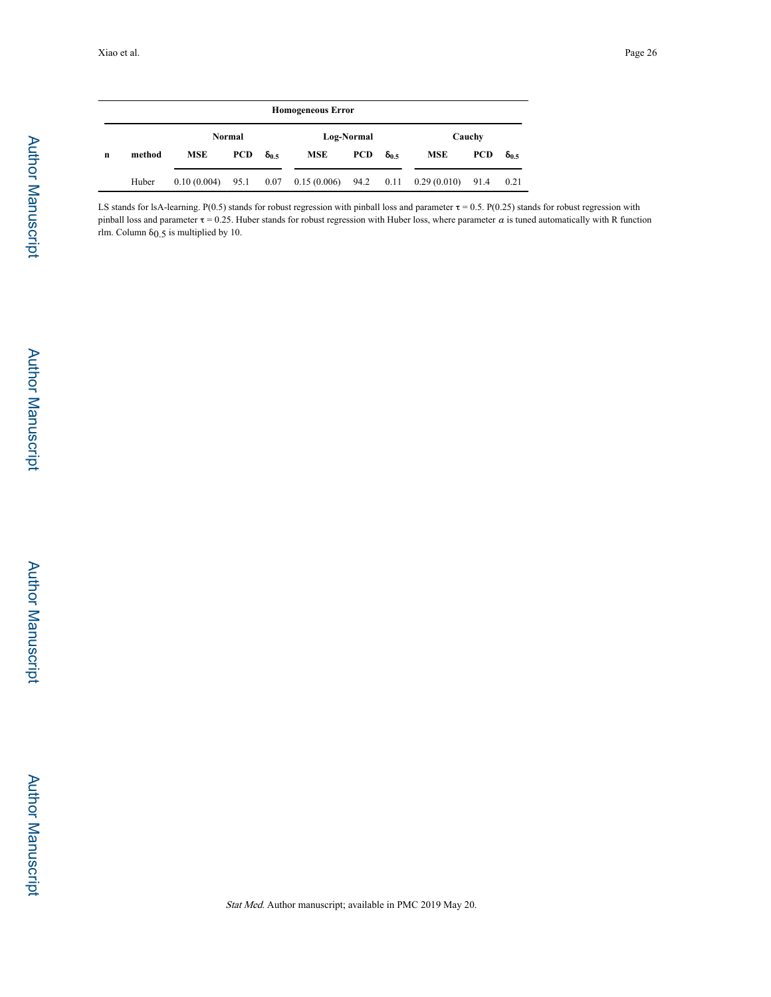|   |        |                    | <b>Normal</b> |      |     | Log-Normal |         | Cauchy                                              |            |                |
|---|--------|--------------------|---------------|------|-----|------------|---------|-----------------------------------------------------|------------|----------------|
| n | method | <b>MSE</b>         | <b>PCD</b>    | .δი⊰ | MSE | PCD.       | $δ_0$ κ | MSE                                                 | <b>PCD</b> | $\delta_{0.5}$ |
|   | Huber  | $0.10(0.004)$ 95.1 |               |      |     |            |         | $0.07$ 0.15 (0.006)  94.2  0.11  0.29 (0.010)  91.4 |            | 0.21           |

LS stands for lsA-learning. P(0.5) stands for robust regression with pinball loss and parameter  $\tau$  = 0.5. P(0.25) stands for robust regression with pinball loss and parameter  $\tau$  = 0.25. Huber stands for robust regression with Huber loss, where parameter  $a$  is tuned automatically with R function rlm. Column δ $0.5$  is multiplied by 10.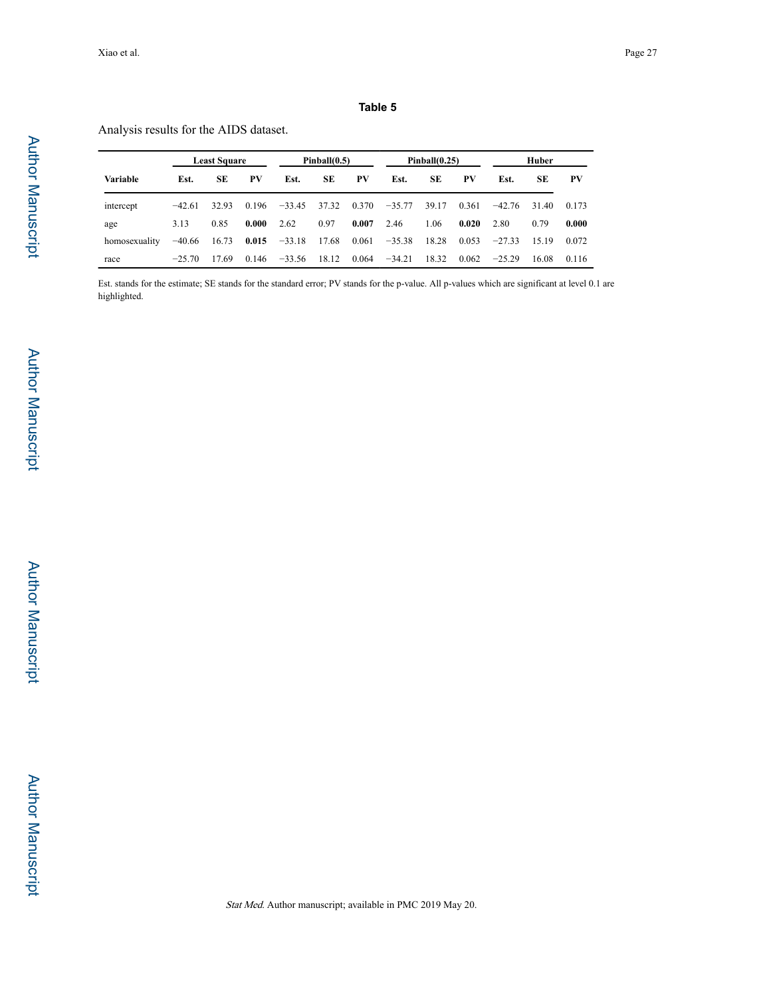#### **Table 5**

Analysis results for the AIDS dataset.

|               | <b>Least Square</b> |       | Pinball(0.5) |          |       | Pinball(0.25) |          |       | Huber |          |       |       |
|---------------|---------------------|-------|--------------|----------|-------|---------------|----------|-------|-------|----------|-------|-------|
| Variable      | Est.                | SЕ    | PV           | Est.     | SE    | PV            | Est.     | SE    | PV    | Est.     | SE    | PV    |
| intercept     | $-42.61$            | 32.93 | 0.196        | $-33.45$ | 37.32 | 0.370         | $-35.77$ | 39.17 | 0.361 | $-42.76$ | 31.40 | 0.173 |
| age           | 3.13                | 0.85  | 0.000        | 2.62     | 0.97  | 0.007         | 2.46     | 1.06  | 0.020 | 2.80     | 0.79  | 0.000 |
| homosexuality | $-40.66$            | 16.73 | 0.015        | $-33.18$ | 17.68 | 0.061         | $-35.38$ | 18.28 | 0.053 | $-27.33$ | 15.19 | 0.072 |
| race          | $-25.70$            | 17.69 | 0.146        | $-33.56$ | 18.12 | 0.064         | $-34.21$ | 18.32 | 0.062 | $-25.29$ | 16.08 | 0.116 |

Est. stands for the estimate; SE stands for the standard error; PV stands for the p-value. All p-values which are significant at level 0.1 are highlighted.